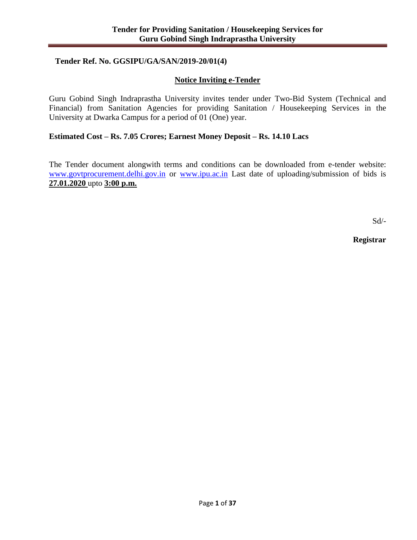## **Tender Ref. No. GGSIPU/GA/SAN/2019-20/01(4)**

## **Notice Inviting e-Tender**

Guru Gobind Singh Indraprastha University invites tender under Two-Bid System (Technical and Financial) from Sanitation Agencies for providing Sanitation / Housekeeping Services in the University at Dwarka Campus for a period of 01 (One) year.

## **Estimated Cost – Rs. 7.05 Crores; Earnest Money Deposit – Rs. 14.10 Lacs**

The Tender document alongwith terms and conditions can be downloaded from e-tender website: [www.govtprocurement.delhi.gov.in](http://www.govtprocurement.delhi.gov.in/) or [www.ipu.ac.in](http://www.ipu.ac.in/) Last date of uploading/submission of bids is **27.01.2020** upto **3:00 p.m.**

Sd/-

**Registrar**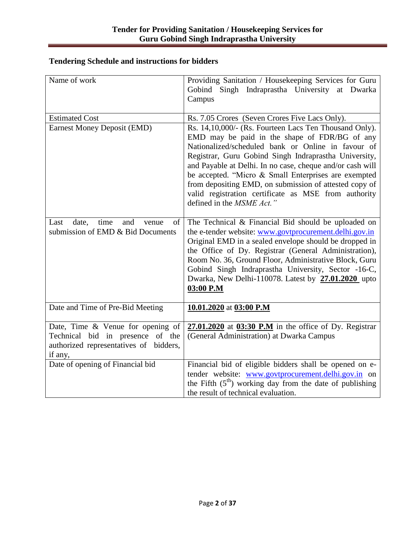# **Tendering Schedule and instructions for bidders**

| Name of work                                                                                                                  | Providing Sanitation / Housekeeping Services for Guru<br>Gobind Singh Indraprastha University at Dwarka<br>Campus                                                                                                                                                                                                                                                                                                                                                                          |
|-------------------------------------------------------------------------------------------------------------------------------|--------------------------------------------------------------------------------------------------------------------------------------------------------------------------------------------------------------------------------------------------------------------------------------------------------------------------------------------------------------------------------------------------------------------------------------------------------------------------------------------|
| <b>Estimated Cost</b>                                                                                                         | Rs. 7.05 Crores (Seven Crores Five Lacs Only).                                                                                                                                                                                                                                                                                                                                                                                                                                             |
| <b>Earnest Money Deposit (EMD)</b>                                                                                            | Rs. 14,10,000/- (Rs. Fourteen Lacs Ten Thousand Only).<br>EMD may be paid in the shape of FDR/BG of any<br>Nationalized/scheduled bank or Online in favour of<br>Registrar, Guru Gobind Singh Indraprastha University,<br>and Payable at Delhi. In no case, cheque and/or cash will<br>be accepted. "Micro & Small Enterprises are exempted<br>from depositing EMD, on submission of attested copy of<br>valid registration certificate as MSE from authority<br>defined in the MSME Act." |
| Last<br>date,<br>time<br>and<br>venue<br>of<br>submission of EMD & Bid Documents                                              | The Technical & Financial Bid should be uploaded on<br>the e-tender website: www.govtprocurement.delhi.gov.in<br>Original EMD in a sealed envelope should be dropped in<br>the Office of Dy. Registrar (General Administration),<br>Room No. 36, Ground Floor, Administrative Block, Guru<br>Gobind Singh Indraprastha University, Sector -16-C,<br>Dwarka, New Delhi-110078. Latest by 27.01.2020 upto<br>03:00 P.M                                                                       |
| Date and Time of Pre-Bid Meeting                                                                                              | 10.01.2020 at 03:00 P.M                                                                                                                                                                                                                                                                                                                                                                                                                                                                    |
| Date, Time $\&$ Venue for opening of<br>Technical bid in presence of the<br>authorized representatives of bidders,<br>if any, | $27.01.2020$ at $03:30$ P.M in the office of Dy. Registrar<br>(General Administration) at Dwarka Campus                                                                                                                                                                                                                                                                                                                                                                                    |
| Date of opening of Financial bid                                                                                              | Financial bid of eligible bidders shall be opened on e-<br>tender website: www.govtprocurement.delhi.gov.in on<br>the Fifth $(5th)$ working day from the date of publishing<br>the result of technical evaluation.                                                                                                                                                                                                                                                                         |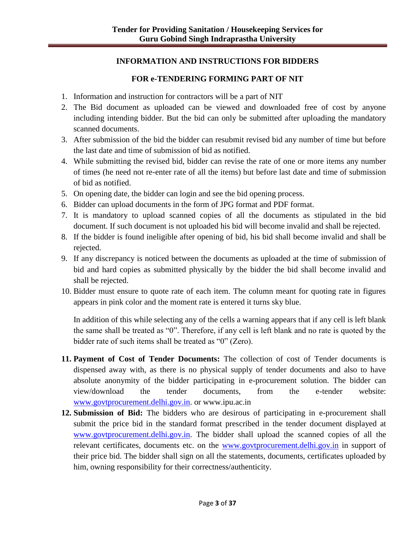## **INFORMATION AND INSTRUCTIONS FOR BIDDERS**

# **FOR e-TENDERING FORMING PART OF NIT**

- 1. Information and instruction for contractors will be a part of NIT
- 2. The Bid document as uploaded can be viewed and downloaded free of cost by anyone including intending bidder. But the bid can only be submitted after uploading the mandatory scanned documents.
- 3. After submission of the bid the bidder can resubmit revised bid any number of time but before the last date and time of submission of bid as notified.
- 4. While submitting the revised bid, bidder can revise the rate of one or more items any number of times (he need not re-enter rate of all the items) but before last date and time of submission of bid as notified.
- 5. On opening date, the bidder can login and see the bid opening process.
- 6. Bidder can upload documents in the form of JPG format and PDF format.
- 7. It is mandatory to upload scanned copies of all the documents as stipulated in the bid document. If such document is not uploaded his bid will become invalid and shall be rejected.
- 8. If the bidder is found ineligible after opening of bid, his bid shall become invalid and shall be rejected.
- 9. If any discrepancy is noticed between the documents as uploaded at the time of submission of bid and hard copies as submitted physically by the bidder the bid shall become invalid and shall be rejected.
- 10. Bidder must ensure to quote rate of each item. The column meant for quoting rate in figures appears in pink color and the moment rate is entered it turns sky blue.

In addition of this while selecting any of the cells a warning appears that if any cell is left blank the same shall be treated as "0". Therefore, if any cell is left blank and no rate is quoted by the bidder rate of such items shall be treated as "0" (Zero).

- **11. Payment of Cost of Tender Documents:** The collection of cost of Tender documents is dispensed away with, as there is no physical supply of tender documents and also to have absolute anonymity of the bidder participating in e-procurement solution. The bidder can view/download the tender documents, from the e-tender website: [www.govtprocurement.delhi.gov.in.](http://www.govtprocurement.delhi.gov.in/) or www.ipu.ac.in
- **12. Submission of Bid:** The bidders who are desirous of participating in e-procurement shall submit the price bid in the standard format prescribed in the tender document displayed at [www.govtprocurement.delhi.gov.in.](http://www.govtprocurement.delhi.gov.in/) The bidder shall upload the scanned copies of all the relevant certificates, documents etc. on the [www.govtprocurement.delhi.gov.in](http://www.govtprocurement.delhi.gov.in/) in support of their price bid. The bidder shall sign on all the statements, documents, certificates uploaded by him, owning responsibility for their correctness/authenticity.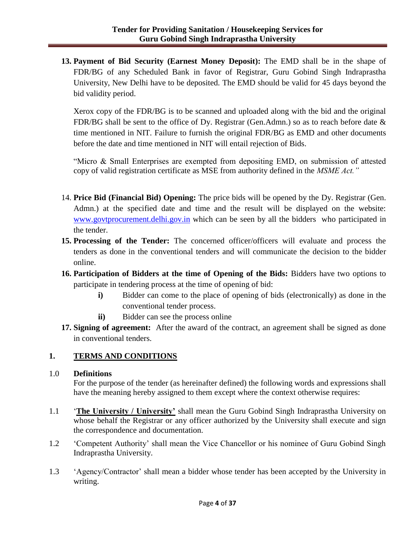**13. Payment of Bid Security (Earnest Money Deposit):** The EMD shall be in the shape of FDR/BG of any Scheduled Bank in favor of Registrar, Guru Gobind Singh Indraprastha University, New Delhi have to be deposited. The EMD should be valid for 45 days beyond the bid validity period.

Xerox copy of the FDR/BG is to be scanned and uploaded along with the bid and the original FDR/BG shall be sent to the office of Dy. Registrar (Gen.Admn.) so as to reach before date & time mentioned in NIT. Failure to furnish the original FDR/BG as EMD and other documents before the date and time mentioned in NIT will entail rejection of Bids.

"Micro & Small Enterprises are exempted from depositing EMD, on submission of attested copy of valid registration certificate as MSE from authority defined in the *MSME Act."* 

- 14. **Price Bid (Financial Bid) Opening:** The price bids will be opened by the Dy. Registrar (Gen. Admn.) at the specified date and time and the result will be displayed on the website: [www.govtprocurement.delhi.gov.in](http://www.govtprocurement.delhi.gov.in/) which can be seen by all the bidders who participated in the tender.
- **15. Processing of the Tender:** The concerned officer/officers will evaluate and process the tenders as done in the conventional tenders and will communicate the decision to the bidder online.
- **16. Participation of Bidders at the time of Opening of the Bids:** Bidders have two options to participate in tendering process at the time of opening of bid:
	- **i)** Bidder can come to the place of opening of bids (electronically) as done in the conventional tender process.
	- **ii)** Bidder can see the process online
- **17. Signing of agreement:** After the award of the contract, an agreement shall be signed as done in conventional tenders.

## **1. TERMS AND CONDITIONS**

### 1.0 **Definitions**

For the purpose of the tender (as hereinafter defined) the following words and expressions shall have the meaning hereby assigned to them except where the context otherwise requires:

- 1.1 '**The University / University'** shall mean the Guru Gobind Singh Indraprastha University on whose behalf the Registrar or any officer authorized by the University shall execute and sign the correspondence and documentation.
- 1.2 'Competent Authority' shall mean the Vice Chancellor or his nominee of Guru Gobind Singh Indraprastha University.
- 1.3 'Agency/Contractor' shall mean a bidder whose tender has been accepted by the University in writing.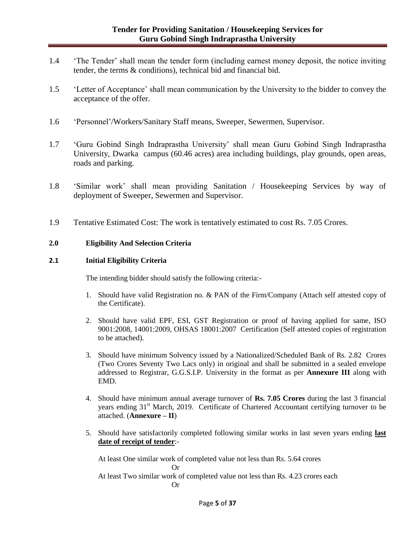- 1.4 'The Tender' shall mean the tender form (including earnest money deposit, the notice inviting tender, the terms & conditions), technical bid and financial bid.
- 1.5 'Letter of Acceptance' shall mean communication by the University to the bidder to convey the acceptance of the offer.
- 1.6 'Personnel'/Workers/Sanitary Staff means, Sweeper, Sewermen, Supervisor.
- 1.7 'Guru Gobind Singh Indraprastha University' shall mean Guru Gobind Singh Indraprastha University, Dwarka campus (60.46 acres) area including buildings, play grounds, open areas, roads and parking.
- 1.8 'Similar work' shall mean providing Sanitation / Housekeeping Services by way of deployment of Sweeper, Sewermen and Supervisor.
- 1.9 Tentative Estimated Cost: The work is tentatively estimated to cost Rs. 7.05 Crores.

#### **2.0 Eligibility And Selection Criteria**

#### **2.1 Initial Eligibility Criteria**

The intending bidder should satisfy the following criteria:-

- 1. Should have valid Registration no. & PAN of the Firm/Company (Attach self attested copy of the Certificate).
- 2. Should have valid EPF, ESI, GST Registration or proof of having applied for same, ISO 9001:2008, 14001:2009, OHSAS 18001:2007 Certification (Self attested copies of registration to be attached).
- 3. Should have minimum Solvency issued by a Nationalized/Scheduled Bank of Rs. 2.82 Crores (Two Crores Seventy Two Lacs only) in original and shall be submitted in a sealed envelope addressed to Registrar, G.G.S.I.P. University in the format as per **Annexure III** along with EMD.
- 4. Should have minimum annual average turnover of **Rs. 7.05 Crores** during the last 3 financial years ending 31<sup>st</sup> March, 2019. Certificate of Chartered Accountant certifying turnover to be attached. (**Annexure – II**)
- 5. Should have satisfactorily completed following similar works in last seven years ending **last date of receipt of tender**:-

At least One similar work of completed value not less than Rs. 5.64 crores

Or

At least Two similar work of completed value not less than Rs. 4.23 crores each

Or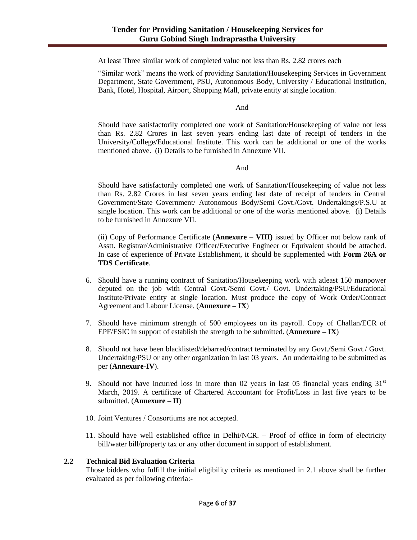At least Three similar work of completed value not less than Rs. 2.82 crores each

"Similar work" means the work of providing Sanitation/Housekeeping Services in Government Department, State Government, PSU, Autonomous Body, University / Educational Institution, Bank, Hotel, Hospital, Airport, Shopping Mall, private entity at single location.

And

Should have satisfactorily completed one work of Sanitation/Housekeeping of value not less than Rs. 2.82 Crores in last seven years ending last date of receipt of tenders in the University/College/Educational Institute. This work can be additional or one of the works mentioned above. (i) Details to be furnished in Annexure VII.

And

Should have satisfactorily completed one work of Sanitation/Housekeeping of value not less than Rs. 2.82 Crores in last seven years ending last date of receipt of tenders in Central Government/State Government/ Autonomous Body/Semi Govt./Govt. Undertakings/P.S.U at single location. This work can be additional or one of the works mentioned above. (i) Details to be furnished in Annexure VII.

(ii) Copy of Performance Certificate (**Annexure – VIII)** issued by Officer not below rank of Asstt. Registrar/Administrative Officer/Executive Engineer or Equivalent should be attached. In case of experience of Private Establishment, it should be supplemented with **Form 26A or TDS Certificate**.

- 6. Should have a running contract of Sanitation/Housekeeping work with atleast 150 manpower deputed on the job with Central Govt./Semi Govt./ Govt. Undertaking/PSU/Educational Institute/Private entity at single location. Must produce the copy of Work Order/Contract Agreement and Labour License. (**Annexure – IX**)
- 7. Should have minimum strength of 500 employees on its payroll. Copy of Challan/ECR of EPF/ESIC in support of establish the strength to be submitted. (**Annexure – IX**)
- 8. Should not have been blacklisted/debarred/contract terminated by any Govt./Semi Govt./ Govt. Undertaking/PSU or any other organization in last 03 years. An undertaking to be submitted as per (**Annexure-IV**).
- 9. Should not have incurred loss in more than 02 years in last 05 financial years ending  $31<sup>st</sup>$ March, 2019. A certificate of Chartered Accountant for Profit/Loss in last five years to be submitted. (**Annexure – II**)
- 10. Joint Ventures / Consortiums are not accepted.
- 11. Should have well established office in Delhi/NCR. Proof of office in form of electricity bill/water bill/property tax or any other document in support of establishment.

#### **2.2 Technical Bid Evaluation Criteria**

Those bidders who fulfill the initial eligibility criteria as mentioned in 2.1 above shall be further evaluated as per following criteria:-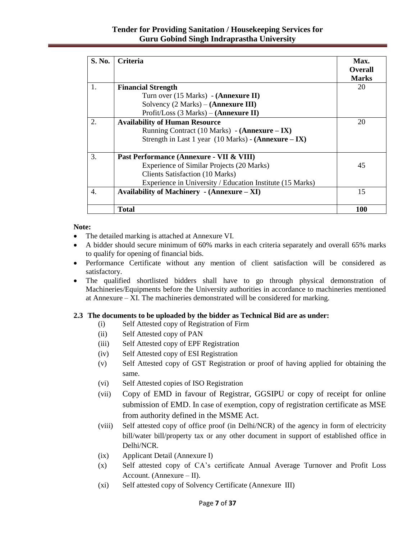## **Tender for Providing Sanitation / Housekeeping Services for Guru Gobind Singh Indraprastha University**

| S. No. | <b>Criteria</b>                                                         | Max.           |
|--------|-------------------------------------------------------------------------|----------------|
|        |                                                                         | <b>Overall</b> |
|        |                                                                         | <b>Marks</b>   |
| 1.     | <b>Financial Strength</b>                                               | 20             |
|        | Turn over (15 Marks) - ( <b>Annexure II</b> )                           |                |
|        | Solvency $(2 Marks) - (Annexure III)$                                   |                |
|        | Profit/Loss $(3 Marks) - (Annexure II)$                                 |                |
| 2.     | <b>Availability of Human Resource</b>                                   | 20             |
|        | Running Contract (10 Marks) - (Annexure – IX)                           |                |
|        | Strength in Last 1 year $(10 \text{ Marks})$ - $(\text{Annexure} - IX)$ |                |
| 3.     | Past Performance (Annexure - VII & VIII)                                |                |
|        | Experience of Similar Projects (20 Marks)                               | 45             |
|        | <b>Clients Satisfaction (10 Marks)</b>                                  |                |
|        | Experience in University / Education Institute (15 Marks)               |                |
| 4.     | Availability of Machinery - (Annexure – XI)                             | 15             |
|        | Total                                                                   | 100            |

### **Note:**

- The detailed marking is attached at Annexure VI.
- A bidder should secure minimum of 60% marks in each criteria separately and overall 65% marks to qualify for opening of financial bids.
- Performance Certificate without any mention of client satisfaction will be considered as satisfactory.
- The qualified shortlisted bidders shall have to go through physical demonstration of Machineries/Equipments before the University authorities in accordance to machineries mentioned at Annexure – XI. The machineries demonstrated will be considered for marking.

### **2.3 The documents to be uploaded by the bidder as Technical Bid are as under:**

- (i) Self Attested copy of Registration of Firm
- (ii) Self Attested copy of PAN
- (iii) Self Attested copy of EPF Registration
- (iv) Self Attested copy of ESI Registration
- (v) Self Attested copy of GST Registration or proof of having applied for obtaining the same.
- (vi) Self Attested copies of ISO Registration
- (vii) Copy of EMD in favour of Registrar, GGSIPU or copy of receipt for online submission of EMD. In case of exemption, copy of registration certificate as MSE from authority defined in the MSME Act.
- (viii) Self attested copy of office proof (in Delhi/NCR) of the agency in form of electricity bill/water bill/property tax or any other document in support of established office in Delhi/NCR.
- (ix) Applicant Detail (Annexure I)
- (x) Self attested copy of CA's certificate Annual Average Turnover and Profit Loss Account. (Annexure – II).
- (xi) Self attested copy of Solvency Certificate (Annexure III)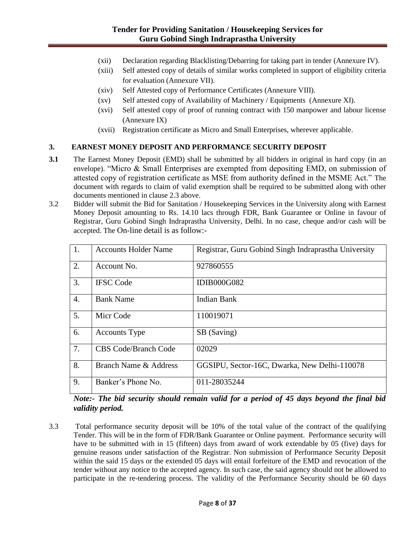- (xii) Declaration regarding Blacklisting/Debarring for taking part in tender (Annexure IV).
- (xiii) Self attested copy of details of similar works completed in support of eligibility criteria for evaluation (Annexure VII).
- (xiv) Self Attested copy of Performance Certificates (Annexure VIII).
- (xv) Self attested copy of Availability of Machinery / Equipments (Annexure XI).
- (xvi) Self attested copy of proof of running contract with 150 manpower and labour license (Annexure IX)
- (xvii) Registration certificate as Micro and Small Enterprises, wherever applicable.

### **3. EARNEST MONEY DEPOSIT AND PERFORMANCE SECURITY DEPOSIT**

- **3.1** The Earnest Money Deposit (EMD) shall be submitted by all bidders in original in hard copy (in an envelope). "Micro & Small Enterprises are exempted from depositing EMD, on submission of attested copy of registration certificate as MSE from authority defined in the MSME Act." The document with regards to claim of valid exemption shall be required to be submitted along with other documents mentioned in clause 2.3 above.
- 3.2 Bidder will submit the Bid for Sanitation / Housekeeping Services in the University along with Earnest Money Deposit amounting to Rs. 14.10 lacs through FDR, Bank Guarantee or Online in favour of Registrar, Guru Gobind Singh Indraprastha University, Delhi. In no case, cheque and/or cash will be accepted. The On-line detail is as follow:-

| <sup>1.</sup>    | <b>Accounts Holder Name</b> | Registrar, Guru Gobind Singh Indraprastha University |
|------------------|-----------------------------|------------------------------------------------------|
| 2.               | Account No.                 | 927860555                                            |
| 3.               | <b>IFSC</b> Code            | <b>IDIB000G082</b>                                   |
| $\overline{4}$ . | <b>Bank Name</b>            | <b>Indian Bank</b>                                   |
| 5.               | Micr Code                   | 110019071                                            |
| 6.               | <b>Accounts Type</b>        | SB (Saving)                                          |
| 7.               | <b>CBS Code/Branch Code</b> | 02029                                                |
| 8.               | Branch Name & Address       | GGSIPU, Sector-16C, Dwarka, New Delhi-110078         |
| 9.               | Banker's Phone No.          | 011-28035244                                         |

*Note:- The bid security should remain valid for a period of 45 days beyond the final bid validity period.*

3.3 Total performance security deposit will be 10% of the total value of the contract of the qualifying Tender. This will be in the form of FDR/Bank Guarantee or Online payment. Performance security will have to be submitted with in 15 (fifteen) days from award of work extendable by 05 (five) days for genuine reasons under satisfaction of the Registrar. Non submission of Performance Security Deposit within the said 15 days or the extended 05 days will entail forfeiture of the EMD and revocation of the tender without any notice to the accepted agency. In such case, the said agency should not be allowed to participate in the re-tendering process. The validity of the Performance Security should be 60 days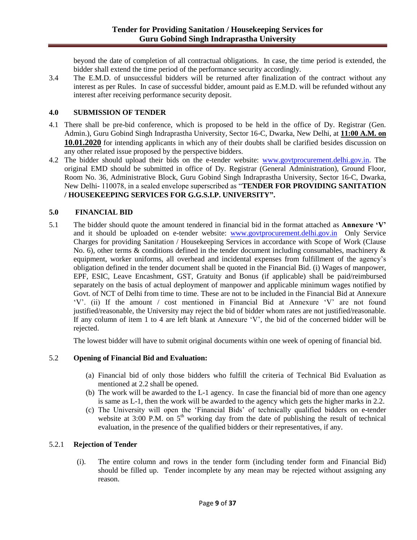beyond the date of completion of all contractual obligations. In case, the time period is extended, the bidder shall extend the time period of the performance security accordingly.

3.4 The E.M.D. of unsuccessful bidders will be returned after finalization of the contract without any interest as per Rules. In case of successful bidder, amount paid as E.M.D. will be refunded without any interest after receiving performance security deposit.

### **4.0 SUBMISSION OF TENDER**

- 4.1 There shall be pre-bid conference, which is proposed to be held in the office of Dy. Registrar (Gen. Admin.), Guru Gobind Singh Indraprastha University, Sector 16-C, Dwarka, New Delhi, at **11:00 A.M. on 10.01.2020** for intending applicants in which any of their doubts shall be clarified besides discussion on any other related issue proposed by the perspective bidders.
- 4.2 The bidder should upload their bids on the e-tender website: [www.govtprocurement.delhi.gov.in.](http://www.govtprocurement.delhi.gov.in/) The original EMD should be submitted in office of Dy. Registrar (General Administration), Ground Floor, Room No. 36, Administrative Block, Guru Gobind Singh Indraprastha University, Sector 16-C, Dwarka, New Delhi- 110078, in a sealed envelope superscribed as "**TENDER FOR PROVIDING SANITATION / HOUSEKEEPING SERVICES FOR G.G.S.I.P. UNIVERSITY".**

## **5.0 FINANCIAL BID**

5.1 The bidder should quote the amount tendered in financial bid in the format attached as **Annexure 'V'**  and it should be uploaded on e-tender website: [www.govtprocurement.delhi.gov.in](http://www.govtprocurement.delhi.gov.in/) Only Service Charges for providing Sanitation / Housekeeping Services in accordance with Scope of Work (Clause No. 6), other terms  $\&$  conditions defined in the tender document including consumables, machinery  $\&$ equipment, worker uniforms, all overhead and incidental expenses from fulfillment of the agency's obligation defined in the tender document shall be quoted in the Financial Bid. (i) Wages of manpower, EPF, ESIC, Leave Encashment, GST, Gratuity and Bonus (if applicable) shall be paid/reimbursed separately on the basis of actual deployment of manpower and applicable minimum wages notified by Govt. of NCT of Delhi from time to time. These are not to be included in the Financial Bid at Annexure 'V'. (ii) If the amount / cost mentioned in Financial Bid at Annexure 'V' are not found justified/reasonable, the University may reject the bid of bidder whom rates are not justified/reasonable. If any column of item 1 to 4 are left blank at Annexure 'V', the bid of the concerned bidder will be rejected.

The lowest bidder will have to submit original documents within one week of opening of financial bid.

## 5.2 **Opening of Financial Bid and Evaluation:**

- (a) Financial bid of only those bidders who fulfill the criteria of Technical Bid Evaluation as mentioned at 2.2 shall be opened.
- (b) The work will be awarded to the L-1 agency. In case the financial bid of more than one agency is same as L-1, then the work will be awarded to the agency which gets the higher marks in 2.2.
- (c) The University will open the 'Financial Bids' of technically qualified bidders on e-tender website at  $3:00$  P.M. on  $5<sup>th</sup>$  working day from the date of publishing the result of technical evaluation, in the presence of the qualified bidders or their representatives, if any.

## 5.2.1 **Rejection of Tender**

(i). The entire column and rows in the tender form (including tender form and Financial Bid) should be filled up. Tender incomplete by any mean may be rejected without assigning any reason.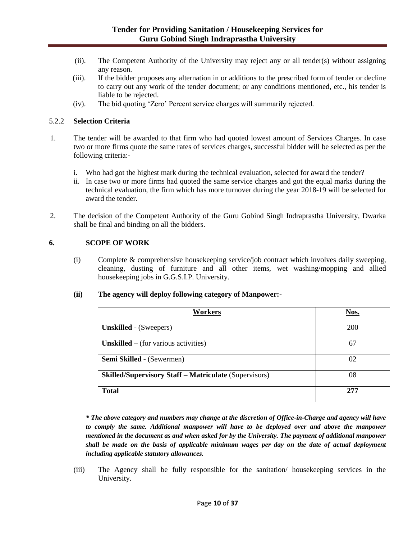- (ii). The Competent Authority of the University may reject any or all tender(s) without assigning any reason.
- (iii). If the bidder proposes any alternation in or additions to the prescribed form of tender or decline to carry out any work of the tender document; or any conditions mentioned, etc., his tender is liable to be rejected.
- (iv). The bid quoting 'Zero' Percent service charges will summarily rejected.

### 5.2.2 **Selection Criteria**

- 1. The tender will be awarded to that firm who had quoted lowest amount of Services Charges. In case two or more firms quote the same rates of services charges, successful bidder will be selected as per the following criteria:
	- i. Who had got the highest mark during the technical evaluation, selected for award the tender?
	- ii. In case two or more firms had quoted the same service charges and got the equal marks during the technical evaluation, the firm which has more turnover during the year 2018-19 will be selected for award the tender.
- 2. The decision of the Competent Authority of the Guru Gobind Singh Indraprastha University, Dwarka shall be final and binding on all the bidders.

### **6. SCOPE OF WORK**

(i) Complete & comprehensive housekeeping service/job contract which involves daily sweeping, cleaning, dusting of furniture and all other items, wet washing/mopping and allied housekeeping jobs in G.G.S.I.P. University.

#### **(ii) The agency will deploy following category of Manpower:-**

| Workers                                                      | Nos. |
|--------------------------------------------------------------|------|
| <b>Unskilled</b> - (Sweepers)                                | 200  |
| Unskilled $-$ (for various activities)                       | 67   |
| <b>Semi Skilled</b> - (Sewermen)                             | 02   |
| <b>Skilled/Supervisory Staff – Matriculate (Supervisors)</b> | 08   |
| <b>Total</b>                                                 | 277  |

*\* The above category and numbers may change at the discretion of Office-in-Charge and agency will have to comply the same. Additional manpower will have to be deployed over and above the manpower mentioned in the document as and when asked for by the University. The payment of additional manpower shall be made on the basis of applicable minimum wages per day on the date of actual deployment including applicable statutory allowances.*

(iii) The Agency shall be fully responsible for the sanitation/ housekeeping services in the University.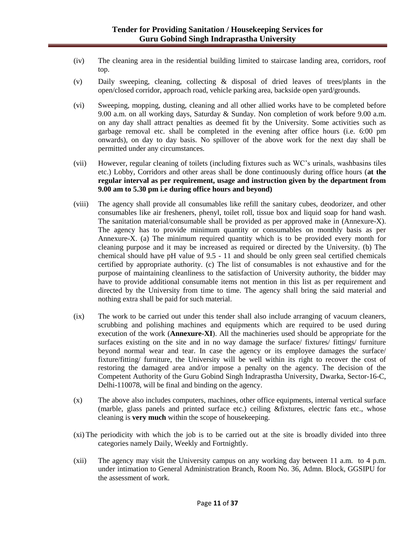- (iv) The cleaning area in the residential building limited to staircase landing area, corridors, roof top.
- (v) Daily sweeping, cleaning, collecting & disposal of dried leaves of trees/plants in the open/closed corridor, approach road, vehicle parking area, backside open yard/grounds.
- (vi) Sweeping, mopping, dusting, cleaning and all other allied works have to be completed before 9.00 a.m. on all working days, Saturday & Sunday. Non completion of work before 9.00 a.m. on any day shall attract penalties as deemed fit by the University. Some activities such as garbage removal etc. shall be completed in the evening after office hours (i.e. 6:00 pm onwards), on day to day basis. No spillover of the above work for the next day shall be permitted under any circumstances.
- (vii) However, regular cleaning of toilets (including fixtures such as WC's urinals, washbasins tiles etc.) Lobby, Corridors and other areas shall be done continuously during office hours (**at the regular interval as per requirement, usage and instruction given by the department from 9.00 am to 5.30 pm i.e during office hours and beyond)**
- (viii) The agency shall provide all consumables like refill the sanitary cubes, deodorizer, and other consumables like air fresheners, phenyl, toilet roll, tissue box and liquid soap for hand wash. The sanitation material/consumable shall be provided as per approved make in (Annexure-X). The agency has to provide minimum quantity or consumables on monthly basis as per Annexure-X. (a) The minimum required quantity which is to be provided every month for cleaning purpose and it may be increased as required or directed by the University. (b) The chemical should have pH value of 9.5 - 11 and should be only green seal certified chemicals certified by appropriate authority. (c) The list of consumables is not exhaustive and for the purpose of maintaining cleanliness to the satisfaction of University authority, the bidder may have to provide additional consumable items not mention in this list as per requirement and directed by the University from time to time. The agency shall bring the said material and nothing extra shall be paid for such material.
- (ix) The work to be carried out under this tender shall also include arranging of vacuum cleaners, scrubbing and polishing machines and equipments which are required to be used during execution of the work (**Annexure-XI**). All the machineries used should be appropriate for the surfaces existing on the site and in no way damage the surface/ fixtures/ fittings/ furniture beyond normal wear and tear. In case the agency or its employee damages the surface/ fixture/fitting/ furniture, the University will be well within its right to recover the cost of restoring the damaged area and/or impose a penalty on the agency. The decision of the Competent Authority of the Guru Gobind Singh Indraprastha University, Dwarka, Sector-16-C, Delhi-110078, will be final and binding on the agency.
- (x) The above also includes computers, machines, other office equipments, internal vertical surface (marble, glass panels and printed surface etc.) ceiling &fixtures, electric fans etc., whose cleaning is **very much** within the scope of housekeeping.
- (xi) The periodicity with which the job is to be carried out at the site is broadly divided into three categories namely Daily, Weekly and Fortnightly.
- (xii) The agency may visit the University campus on any working day between 11 a.m. to 4 p.m. under intimation to General Administration Branch, Room No. 36, Admn. Block, GGSIPU for the assessment of work.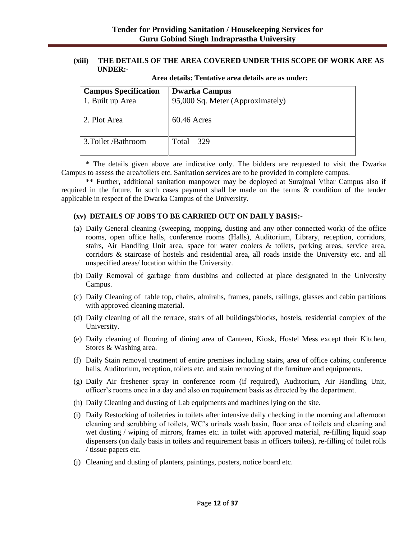#### **(xiii) THE DETAILS OF THE AREA COVERED UNDER THIS SCOPE OF WORK ARE AS UNDER:-**

| <b>Campus Specification</b> | <b>Dwarka Campus</b>             |
|-----------------------------|----------------------------------|
| 1. Built up Area            | 95,000 Sq. Meter (Approximately) |
|                             |                                  |
| 2. Plot Area                | $60.46$ Acres                    |
|                             |                                  |
| 3. Toilet / Bathroom        | Total $-329$                     |
|                             |                                  |

**Area details: Tentative area details are as under:**

\* The details given above are indicative only. The bidders are requested to visit the Dwarka Campus to assess the area/toilets etc. Sanitation services are to be provided in complete campus.

\*\* Further, additional sanitation manpower may be deployed at Surajmal Vihar Campus also if required in the future. In such cases payment shall be made on the terms & condition of the tender applicable in respect of the Dwarka Campus of the University.

### **(xv) DETAILS OF JOBS TO BE CARRIED OUT ON DAILY BASIS:-**

- (a) Daily General cleaning (sweeping, mopping, dusting and any other connected work) of the office rooms, open office halls, conference rooms (Halls), Auditorium, Library, reception, corridors, stairs, Air Handling Unit area, space for water coolers & toilets, parking areas, service area, corridors & staircase of hostels and residential area, all roads inside the University etc. and all unspecified areas/ location within the University.
- (b) Daily Removal of garbage from dustbins and collected at place designated in the University Campus.
- (c) Daily Cleaning of table top, chairs, almirahs, frames, panels, railings, glasses and cabin partitions with approved cleaning material.
- (d) Daily cleaning of all the terrace, stairs of all buildings/blocks, hostels, residential complex of the University.
- (e) Daily cleaning of flooring of dining area of Canteen, Kiosk, Hostel Mess except their Kitchen, Stores & Washing area.
- (f) Daily Stain removal treatment of entire premises including stairs, area of office cabins, conference halls, Auditorium, reception, toilets etc. and stain removing of the furniture and equipments.
- (g) Daily Air freshener spray in conference room (if required), Auditorium, Air Handling Unit, officer's rooms once in a day and also on requirement basis as directed by the department.
- (h) Daily Cleaning and dusting of Lab equipments and machines lying on the site.
- (i) Daily Restocking of toiletries in toilets after intensive daily checking in the morning and afternoon cleaning and scrubbing of toilets, WC's urinals wash basin, floor area of toilets and cleaning and wet dusting / wiping of mirrors, frames etc. in toilet with approved material, re-filling liquid soap dispensers (on daily basis in toilets and requirement basis in officers toilets), re-filling of toilet rolls / tissue papers etc.
- (j) Cleaning and dusting of planters, paintings, posters, notice board etc.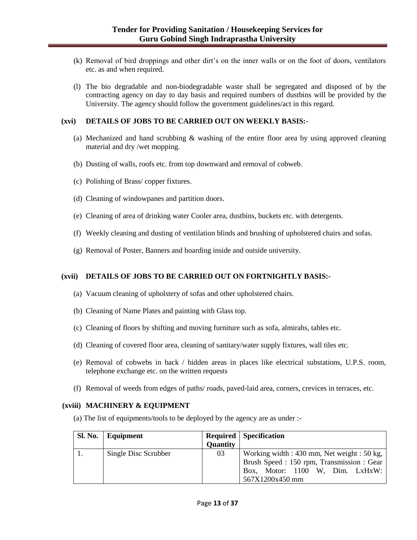- (k) Removal of bird droppings and other dirt's on the inner walls or on the foot of doors, ventilators etc. as and when required.
- (l) The bio degradable and non-biodegradable waste shall be segregated and disposed of by the contracting agency on day to day basis and required numbers of dustbins will be provided by the University. The agency should follow the government guidelines/act in this regard.

#### **(xvi) DETAILS OF JOBS TO BE CARRIED OUT ON WEEKLY BASIS:-**

- (a) Mechanized and hand scrubbing & washing of the entire floor area by using approved cleaning material and dry /wet mopping.
- (b) Dusting of walls, roofs etc. from top downward and removal of cobweb.
- (c) Polishing of Brass/ copper fixtures.
- (d) Cleaning of windowpanes and partition doors.
- (e) Cleaning of area of drinking water Cooler area, dustbins, buckets etc. with detergents.
- (f) Weekly cleaning and dusting of ventilation blinds and brushing of upholstered chairs and sofas.
- (g) Removal of Poster, Banners and hoarding inside and outside university.

#### **(xvii) DETAILS OF JOBS TO BE CARRIED OUT ON FORTNIGHTLY BASIS:-**

- (a) Vacuum cleaning of upholstery of sofas and other upholstered chairs.
- (b) Cleaning of Name Plates and painting with Glass top.
- (c) Cleaning of floors by shifting and moving furniture such as sofa, almirahs, tables etc.
- (d) Cleaning of covered floor area, cleaning of sanitary/water supply fixtures, wall tiles etc.
- (e) Removal of cobwebs in back / hidden areas in places like electrical substations, U.P.S. room, telephone exchange etc. on the written requests
- (f) Removal of weeds from edges of paths/ roads, paved-laid area, corners, crevices in terraces, etc.

#### **(xviii) MACHINERY & EQUIPMENT**

(a) The list of equipments/tools to be deployed by the agency are as under :-

| Sl. No. | Equipment            |                 | <b>Required</b> Specification                   |
|---------|----------------------|-----------------|-------------------------------------------------|
|         |                      | <b>Quantity</b> |                                                 |
|         | Single Disc Scrubber | 03              | Working width : $430$ mm, Net weight : $50$ kg, |
|         |                      |                 | Brush Speed: 150 rpm, Transmission: Gear        |
|         |                      |                 | Box, Motor: 1100 W, Dim. LxHxW:                 |
|         |                      |                 | 567X1200x450 mm                                 |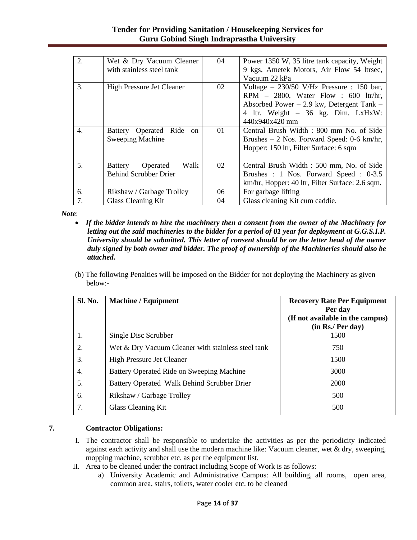| 2. | Wet & Dry Vacuum Cleaner           | 04              | Power 1350 W, 35 litre tank capacity, Weight    |
|----|------------------------------------|-----------------|-------------------------------------------------|
|    | with stainless steel tank          |                 | 9 kgs, Ametek Motors, Air Flow 54 ltrsec,       |
|    |                                    |                 | Vacuum 22 kPa                                   |
| 3. | High Pressure Jet Cleaner          | 02              | Voltage $-$ 230/50 V/Hz Pressure : 150 bar,     |
|    |                                    |                 | RPM $-$ 2800, Water Flow : 600 ltr/hr,          |
|    |                                    |                 | Absorbed Power $-2.9$ kw, Detergent Tank $-$    |
|    |                                    |                 | 4 ltr. Weight - 36 kg. Dim. LxHxW:              |
|    |                                    |                 | $440x940x420$ mm                                |
| 4. | Battery Operated Ride<br>on        | 01              | Central Brush Width: 800 mm No. of Side         |
|    | Sweeping Machine                   |                 | Brushes $-2$ Nos. Forward Speed: 0-6 km/hr,     |
|    |                                    |                 | Hopper: 150 ltr, Filter Surface: 6 sqm          |
|    |                                    |                 |                                                 |
| 5. | Walk<br>Operated<br><b>Battery</b> | 02 <sup>2</sup> | Central Brush Width : 500 mm, No. of Side       |
|    | <b>Behind Scrubber Drier</b>       |                 | Brushes : 1 Nos. Forward Speed : 0-3.5          |
|    |                                    |                 | km/hr, Hopper: 40 ltr, Filter Surface: 2.6 sqm. |
| 6. | Rikshaw / Garbage Trolley          | 06              | For garbage lifting                             |
| 7. | <b>Glass Cleaning Kit</b>          | 04              | Glass cleaning Kit cum caddie.                  |

*Note*:

- *If the bidder intends to hire the machinery then a consent from the owner of the Machinery for letting out the said machineries to the bidder for a period of 01 year for deployment at G.G.S.I.P. University should be submitted. This letter of consent should be on the letter head of the owner duly signed by both owner and bidder. The proof of ownership of the Machineries should also be attached.*
- (b) The following Penalties will be imposed on the Bidder for not deploying the Machinery as given below:-

| Sl. No.          | <b>Machine / Equipment</b>                         | <b>Recovery Rate Per Equipment</b><br>Per day<br>(If not available in the campus)<br>(in Rs. / Per day) |
|------------------|----------------------------------------------------|---------------------------------------------------------------------------------------------------------|
| 1.               | Single Disc Scrubber                               | 1500                                                                                                    |
| $\overline{2}$ . | Wet & Dry Vacuum Cleaner with stainless steel tank | 750                                                                                                     |
| 3.               | <b>High Pressure Jet Cleaner</b>                   | 1500                                                                                                    |
| $\overline{4}$ . | Battery Operated Ride on Sweeping Machine          | 3000                                                                                                    |
| 5.               | Battery Operated Walk Behind Scrubber Drier        | 2000                                                                                                    |
| 6.               | Rikshaw / Garbage Trolley                          | 500                                                                                                     |
| 7.               | Glass Cleaning Kit                                 | 500                                                                                                     |

## **7. Contractor Obligations:**

- I. The contractor shall be responsible to undertake the activities as per the periodicity indicated against each activity and shall use the modern machine like: Vacuum cleaner, wet  $\&$  dry, sweeping, mopping machine, scrubber etc. as per the equipment list.
- II. Area to be cleaned under the contract including Scope of Work is as follows:
	- a) University Academic and Administrative Campus: All building, all rooms, open area, common area, stairs, toilets, water cooler etc. to be cleaned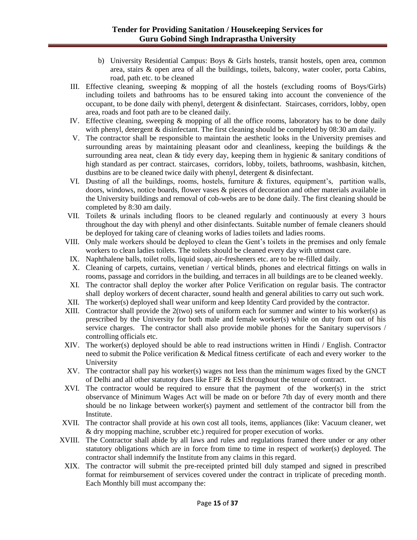- b) University Residential Campus: Boys & Girls hostels, transit hostels, open area, common area, stairs & open area of all the buildings, toilets, balcony, water cooler, porta Cabins, road, path etc. to be cleaned
- III. Effective cleaning, sweeping & mopping of all the hostels (excluding rooms of Boys/Girls) including toilets and bathrooms has to be ensured taking into account the convenience of the occupant, to be done daily with phenyl, detergent & disinfectant. Staircases, corridors, lobby, open area, roads and foot path are to be cleaned daily.
- IV. Effective cleaning, sweeping & mopping of all the office rooms, laboratory has to be done daily with phenyl, detergent & disinfectant. The first cleaning should be completed by 08:30 am daily.
- V. The contractor shall be responsible to maintain the aesthetic looks in the University premises and surrounding areas by maintaining pleasant odor and cleanliness, keeping the buildings  $\&$  the surrounding area neat, clean  $\&$  tidy every day, keeping them in hygienic  $\&$  sanitary conditions of high standard as per contract. staircases, corridors, lobby, toilets, bathrooms, washbasin, kitchen, dustbins are to be cleaned twice daily with phenyl, detergent & disinfectant.
- VI. Dusting of all the buildings, rooms, hostels, furniture & fixtures, equipment's, partition walls, doors, windows, notice boards, flower vases & pieces of decoration and other materials available in the University buildings and removal of cob-webs are to be done daily. The first cleaning should be completed by 8:30 am daily.
- VII. Toilets & urinals including floors to be cleaned regularly and continuously at every 3 hours throughout the day with phenyl and other disinfectants. Suitable number of female cleaners should be deployed for taking care of cleaning works of ladies toilets and ladies rooms.
- VIII. Only male workers should be deployed to clean the Gent's toilets in the premises and only female workers to clean ladies toilets. The toilets should be cleaned every day with utmost care.
- IX. Naphthalene balls, toilet rolls, liquid soap, air-fresheners etc. are to be re-filled daily.
- X. Cleaning of carpets, curtains, venetian / vertical blinds, phones and electrical fittings on walls in rooms, passage and corridors in the building, and terraces in all buildings are to be cleaned weekly.
- XI. The contractor shall deploy the worker after Police Verification on regular basis. The contractor shall deploy workers of decent character, sound health and general abilities to carry out such work.
- XII. The worker(s) deployed shall wear uniform and keep Identity Card provided by the contractor.
- XIII. Contractor shall provide the 2(two) sets of uniform each for summer and winter to his worker(s) as prescribed by the University for both male and female worker(s) while on duty from out of his service charges. The contractor shall also provide mobile phones for the Sanitary supervisors / controlling officials etc.
- XIV. The worker(s) deployed should be able to read instructions written in Hindi / English. Contractor need to submit the Police verification & Medical fitness certificate of each and every worker to the University
- XV. The contractor shall pay his worker(s) wages not less than the minimum wages fixed by the GNCT of Delhi and all other statutory dues like EPF  $&$  ESI throughout the tenure of contract.
- XVI. The contractor would be required to ensure that the payment of the worker(s) in the strict observance of Minimum Wages Act will be made on or before 7th day of every month and there should be no linkage between worker(s) payment and settlement of the contractor bill from the Institute.
- XVII. The contractor shall provide at his own cost all tools, items, appliances (like: Vacuum cleaner, wet & dry mopping machine, scrubber etc.) required for proper execution of works.
- XVIII. The Contractor shall abide by all laws and rules and regulations framed there under or any other statutory obligations which are in force from time to time in respect of worker(s) deployed. The contractor shall indemnify the Institute from any claims in this regard.
- XIX. The contractor will submit the pre-receipted printed bill duly stamped and signed in prescribed format for reimbursement of services covered under the contract in triplicate of preceding month. Each Monthly bill must accompany the: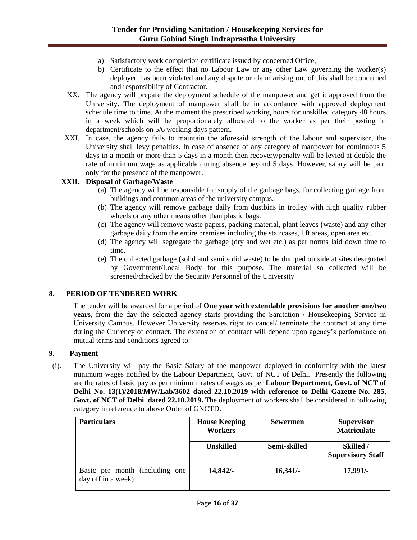- a) Satisfactory work completion certificate issued by concerned Office,
- b) Certificate to the effect that no Labour Law or any other Law governing the worker(s) deployed has been violated and any dispute or claim arising out of this shall be concerned and responsibility of Contractor.
- XX. The agency will prepare the deployment schedule of the manpower and get it approved from the University. The deployment of manpower shall be in accordance with approved deployment schedule time to time. At the moment the prescribed working hours for unskilled category 48 hours in a week which will be proportionately allocated to the worker as per their posting in department/schools on 5/6 working days pattern.
- XXI. In case, the agency fails to maintain the aforesaid strength of the labour and supervisor, the University shall levy penalties. In case of absence of any category of manpower for continuous 5 days in a month or more than 5 days in a month then recovery/penalty will be levied at double the rate of minimum wage as applicable during absence beyond 5 days. However, salary will be paid only for the presence of the manpower.

### **XXII. Disposal of Garbage/Waste**

- (a) The agency will be responsible for supply of the garbage bags, for collecting garbage from buildings and common areas of the university campus.
- (b) The agency will remove garbage daily from dustbins in trolley with high quality rubber wheels or any other means other than plastic bags.
- (c) The agency will remove waste papers, packing material, plant leaves (waste) and any other garbage daily from the entire premises including the staircases, lift areas, open area etc.
- (d) The agency will segregate the garbage (dry and wet etc.) as per norms laid down time to time.
- (e) The collected garbage (solid and semi solid waste) to be dumped outside at sites designated by Government/Local Body for this purpose. The material so collected will be screened/checked by the Security Personnel of the University

### **8. PERIOD OF TENDERED WORK**

The tender will be awarded for a period of **One year with extendable provisions for another one/two years**, from the day the selected agency starts providing the Sanitation / Housekeeping Service in University Campus. However University reserves right to cancel/ terminate the contract at any time during the Currency of contract. The extension of contract will depend upon agency's performance on mutual terms and conditions agreed to.

## **9. Payment**

(i). The University will pay the Basic Salary of the manpower deployed in conformity with the latest minimum wages notified by the Labour Department, Govt. of NCT of Delhi. Presently the following are the rates of basic pay as per minimum rates of wages as per **Labour Department, Govt. of NCT of Delhi No. 13(1)/2018/MW/Lab/3602 dated 22.10.2019 with reference to Delhi Gazette No. 285, Govt. of NCT of Delhi dated 22.10.2019.** The deployment of workers shall be considered in following category in reference to above Order of GNCTD.

| <b>Particulars</b>                                   | <b>House Keeping</b><br>Workers | <b>Sewermen</b> | <b>Supervisor</b><br><b>Matriculate</b> |
|------------------------------------------------------|---------------------------------|-----------------|-----------------------------------------|
|                                                      | <b>Unskilled</b>                | Semi-skilled    | Skilled /<br><b>Supervisory Staff</b>   |
| Basic per month (including one<br>day off in a week) | 14,842/                         | 16,341/         | $17,991/-$                              |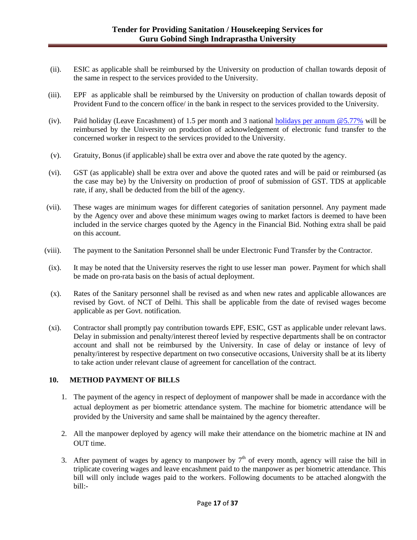- (ii). ESIC as applicable shall be reimbursed by the University on production of challan towards deposit of the same in respect to the services provided to the University.
- (iii). EPF as applicable shall be reimbursed by the University on production of challan towards deposit of Provident Fund to the concern office/ in the bank in respect to the services provided to the University.
- (iv). Paid holiday (Leave Encashment) of 1.5 per month and 3 national holidays [per annum @5.77%](mailto:holidays@5.77%25) will be reimbursed by the University on production of acknowledgement of electronic fund transfer to the concerned worker in respect to the services provided to the University.
- (v). Gratuity, Bonus (if applicable) shall be extra over and above the rate quoted by the agency.
- (vi). GST (as applicable) shall be extra over and above the quoted rates and will be paid or reimbursed (as the case may be) by the University on production of proof of submission of GST. TDS at applicable rate, if any, shall be deducted from the bill of the agency.
- (vii). These wages are minimum wages for different categories of sanitation personnel. Any payment made by the Agency over and above these minimum wages owing to market factors is deemed to have been included in the service charges quoted by the Agency in the Financial Bid. Nothing extra shall be paid on this account.
- (viii). The payment to the Sanitation Personnel shall be under Electronic Fund Transfer by the Contractor.
- (ix). It may be noted that the University reserves the right to use lesser man power. Payment for which shall be made on pro-rata basis on the basis of actual deployment.
- (x). Rates of the Sanitary personnel shall be revised as and when new rates and applicable allowances are revised by Govt. of NCT of Delhi. This shall be applicable from the date of revised wages become applicable as per Govt. notification.
- (xi). Contractor shall promptly pay contribution towards EPF, ESIC, GST as applicable under relevant laws. Delay in submission and penalty/interest thereof levied by respective departments shall be on contractor account and shall not be reimbursed by the University. In case of delay or instance of levy of penalty/interest by respective department on two consecutive occasions, University shall be at its liberty to take action under relevant clause of agreement for cancellation of the contract.

### **10. METHOD PAYMENT OF BILLS**

- 1. The payment of the agency in respect of deployment of manpower shall be made in accordance with the actual deployment as per biometric attendance system. The machine for biometric attendance will be provided by the University and same shall be maintained by the agency thereafter.
- 2. All the manpower deployed by agency will make their attendance on the biometric machine at IN and OUT time.
- 3. After payment of wages by agency to manpower by  $7<sup>th</sup>$  of every month, agency will raise the bill in triplicate covering wages and leave encashment paid to the manpower as per biometric attendance. This bill will only include wages paid to the workers. Following documents to be attached alongwith the bill:-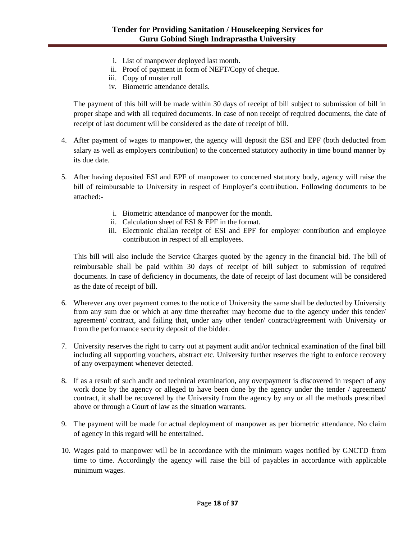- i. List of manpower deployed last month.
- ii. Proof of payment in form of NEFT/Copy of cheque.
- iii. Copy of muster roll
- iv. Biometric attendance details.

The payment of this bill will be made within 30 days of receipt of bill subject to submission of bill in proper shape and with all required documents. In case of non receipt of required documents, the date of receipt of last document will be considered as the date of receipt of bill.

- 4. After payment of wages to manpower, the agency will deposit the ESI and EPF (both deducted from salary as well as employers contribution) to the concerned statutory authority in time bound manner by its due date.
- 5. After having deposited ESI and EPF of manpower to concerned statutory body, agency will raise the bill of reimbursable to University in respect of Employer's contribution. Following documents to be attached:
	- i. Biometric attendance of manpower for the month.
	- ii. Calculation sheet of ESI & EPF in the format.
	- iii. Electronic challan receipt of ESI and EPF for employer contribution and employee contribution in respect of all employees.

This bill will also include the Service Charges quoted by the agency in the financial bid. The bill of reimbursable shall be paid within 30 days of receipt of bill subject to submission of required documents. In case of deficiency in documents, the date of receipt of last document will be considered as the date of receipt of bill.

- 6. Wherever any over payment comes to the notice of University the same shall be deducted by University from any sum due or which at any time thereafter may become due to the agency under this tender/ agreement/ contract, and failing that, under any other tender/ contract/agreement with University or from the performance security deposit of the bidder.
- 7. University reserves the right to carry out at payment audit and/or technical examination of the final bill including all supporting vouchers, abstract etc. University further reserves the right to enforce recovery of any overpayment whenever detected.
- 8. If as a result of such audit and technical examination, any overpayment is discovered in respect of any work done by the agency or alleged to have been done by the agency under the tender / agreement/ contract, it shall be recovered by the University from the agency by any or all the methods prescribed above or through a Court of law as the situation warrants.
- 9. The payment will be made for actual deployment of manpower as per biometric attendance. No claim of agency in this regard will be entertained.
- 10. Wages paid to manpower will be in accordance with the minimum wages notified by GNCTD from time to time. Accordingly the agency will raise the bill of payables in accordance with applicable minimum wages.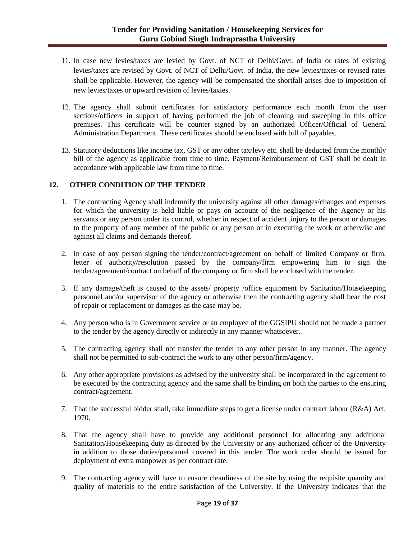- 11. In case new levies/taxes are levied by Govt. of NCT of Delhi/Govt. of India or rates of existing levies/taxes are revised by Govt. of NCT of Delhi/Govt. of India, the new levies/taxes or revised rates shall be applicable. However, the agency will be compensated the shortfall arises due to imposition of new levies/taxes or upward revision of levies/taxies.
- 12. The agency shall submit certificates for satisfactory performance each month from the user sections/officers in support of having performed the job of cleaning and sweeping in this office premises. This certificate will be counter signed by an authorized Officer/Official of General Administration Department. These certificates should be enclosed with bill of payables.
- 13. Statutory deductions like income tax, GST or any other tax/levy etc. shall be deducted from the monthly bill of the agency as applicable from time to time. Payment/Reimbursement of GST shall be dealt in accordance with applicable law from time to time.

### **12. OTHER CONDITION OF THE TENDER**

- 1. The contracting Agency shall indemnify the university against all other damages/changes and expenses for which the university is held liable or pays on account of the negligence of the Agency or his servants or any person under its control, whether in respect of accident ,injury to the person or damages to the property of any member of the public or any person or in executing the work or otherwise and against all claims and demands thereof.
- 2. In case of any person signing the tender/contract/agreement on behalf of limited Company or firm, letter of authority/resolution passed by the company/firm empowering him to sign the tender/agreement/contract on behalf of the company or firm shall be enclosed with the tender.
- 3. If any damage/theft is caused to the assets/ property /office equipment by Sanitation/Housekeeping personnel and/or supervisor of the agency or otherwise then the contracting agency shall bear the cost of repair or replacement or damages as the case may be.
- 4. Any person who is in Government service or an employee of the GGSIPU should not be made a partner to the tender by the agency directly or indirectly in any manner whatsoever.
- 5. The contracting agency shall not transfer the tender to any other person in any manner. The agency shall not be permitted to sub-contract the work to any other person/firm/agency.
- 6. Any other appropriate provisions as advised by the university shall be incorporated in the agreement to be executed by the contracting agency and the same shall be binding on both the parties to the ensuring contract/agreement.
- 7. That the successful bidder shall, take immediate steps to get a license under contract labour (R&A) Act, 1970.
- 8. That the agency shall have to provide any additional personnel for allocating any additional Sanitation/Housekeeping duty as directed by the University or any authorized officer of the University in addition to those duties/personnel covered in this tender. The work order should be issued for deployment of extra manpower as per contract rate.
- 9. The contracting agency will have to ensure cleanliness of the site by using the requisite quantity and quality of materials to the entire satisfaction of the University. If the University indicates that the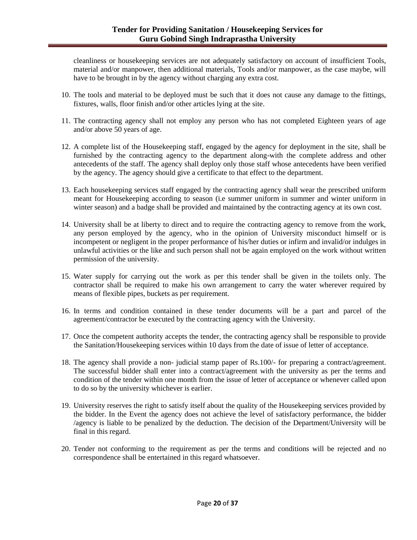cleanliness or housekeeping services are not adequately satisfactory on account of insufficient Tools, material and/or manpower, then additional materials, Tools and/or manpower, as the case maybe, will have to be brought in by the agency without charging any extra cost.

- 10. The tools and material to be deployed must be such that it does not cause any damage to the fittings, fixtures, walls, floor finish and/or other articles lying at the site.
- 11. The contracting agency shall not employ any person who has not completed Eighteen years of age and/or above 50 years of age.
- 12. A complete list of the Housekeeping staff, engaged by the agency for deployment in the site, shall be furnished by the contracting agency to the department along-with the complete address and other antecedents of the staff. The agency shall deploy only those staff whose antecedents have been verified by the agency. The agency should give a certificate to that effect to the department.
- 13. Each housekeeping services staff engaged by the contracting agency shall wear the prescribed uniform meant for Housekeeping according to season (i.e summer uniform in summer and winter uniform in winter season) and a badge shall be provided and maintained by the contracting agency at its own cost.
- 14. University shall be at liberty to direct and to require the contracting agency to remove from the work, any person employed by the agency, who in the opinion of University misconduct himself or is incompetent or negligent in the proper performance of his/her duties or infirm and invalid/or indulges in unlawful activities or the like and such person shall not be again employed on the work without written permission of the university.
- 15. Water supply for carrying out the work as per this tender shall be given in the toilets only. The contractor shall be required to make his own arrangement to carry the water wherever required by means of flexible pipes, buckets as per requirement.
- 16. In terms and condition contained in these tender documents will be a part and parcel of the agreement/contractor be executed by the contracting agency with the University.
- 17. Once the competent authority accepts the tender, the contracting agency shall be responsible to provide the Sanitation/Housekeeping services within 10 days from the date of issue of letter of acceptance.
- 18. The agency shall provide a non- judicial stamp paper of Rs.100/- for preparing a contract/agreement. The successful bidder shall enter into a contract/agreement with the university as per the terms and condition of the tender within one month from the issue of letter of acceptance or whenever called upon to do so by the university whichever is earlier.
- 19. University reserves the right to satisfy itself about the quality of the Housekeeping services provided by the bidder. In the Event the agency does not achieve the level of satisfactory performance, the bidder /agency is liable to be penalized by the deduction. The decision of the Department/University will be final in this regard.
- 20. Tender not conforming to the requirement as per the terms and conditions will be rejected and no correspondence shall be entertained in this regard whatsoever.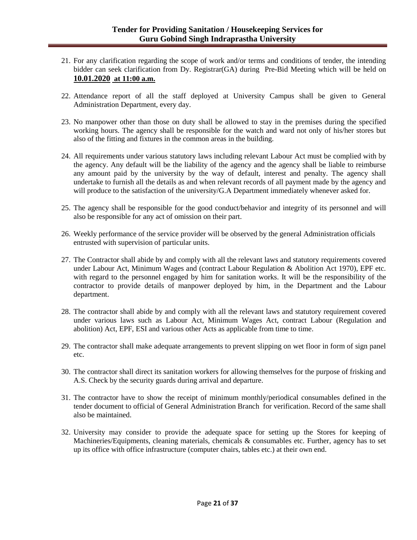- 21. For any clarification regarding the scope of work and/or terms and conditions of tender, the intending bidder can seek clarification from Dy. Registrar(GA) during Pre-Bid Meeting which will be held on **10.01.2020 at 11:00 a.m.**
- 22. Attendance report of all the staff deployed at University Campus shall be given to General Administration Department, every day.
- 23. No manpower other than those on duty shall be allowed to stay in the premises during the specified working hours. The agency shall be responsible for the watch and ward not only of his/her stores but also of the fitting and fixtures in the common areas in the building.
- 24. All requirements under various statutory laws including relevant Labour Act must be complied with by the agency. Any default will be the liability of the agency and the agency shall be liable to reimburse any amount paid by the university by the way of default, interest and penalty. The agency shall undertake to furnish all the details as and when relevant records of all payment made by the agency and will produce to the satisfaction of the university/G.A Department immediately whenever asked for.
- 25. The agency shall be responsible for the good conduct/behavior and integrity of its personnel and will also be responsible for any act of omission on their part.
- 26. Weekly performance of the service provider will be observed by the general Administration officials entrusted with supervision of particular units.
- 27. The Contractor shall abide by and comply with all the relevant laws and statutory requirements covered under Labour Act, Minimum Wages and (contract Labour Regulation & Abolition Act 1970), EPF etc. with regard to the personnel engaged by him for sanitation works. It will be the responsibility of the contractor to provide details of manpower deployed by him, in the Department and the Labour department.
- 28. The contractor shall abide by and comply with all the relevant laws and statutory requirement covered under various laws such as Labour Act, Minimum Wages Act, contract Labour (Regulation and abolition) Act, EPF, ESI and various other Acts as applicable from time to time.
- 29. The contractor shall make adequate arrangements to prevent slipping on wet floor in form of sign panel etc.
- 30. The contractor shall direct its sanitation workers for allowing themselves for the purpose of frisking and A.S. Check by the security guards during arrival and departure.
- 31. The contractor have to show the receipt of minimum monthly/periodical consumables defined in the tender document to official of General Administration Branch for verification. Record of the same shall also be maintained.
- 32. University may consider to provide the adequate space for setting up the Stores for keeping of Machineries/Equipments, cleaning materials, chemicals & consumables etc. Further, agency has to set up its office with office infrastructure (computer chairs, tables etc.) at their own end.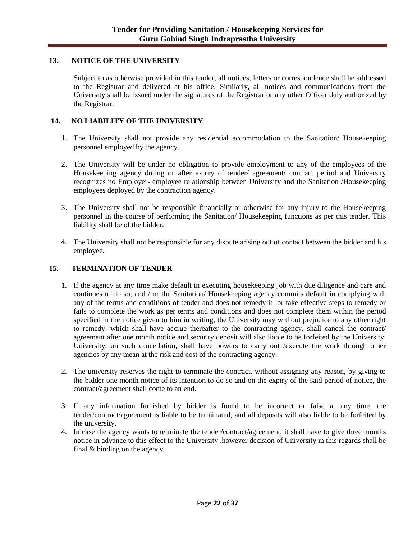### **13. NOTICE OF THE UNIVERSITY**

Subject to as otherwise provided in this tender, all notices, letters or correspondence shall be addressed to the Registrar and delivered at his office. Similarly, all notices and communications from the University shall be issued under the signatures of the Registrar or any other Officer duly authorized by the Registrar.

### **14. NO LIABILITY OF THE UNIVERSITY**

- 1. The University shall not provide any residential accommodation to the Sanitation/ Housekeeping personnel employed by the agency.
- 2. The University will be under no obligation to provide employment to any of the employees of the Housekeeping agency during or after expiry of tender/ agreement/ contract period and University recognizes no Employer- employee relationship between University and the Sanitation /Housekeeping employees deployed by the contraction agency.
- 3. The University shall not be responsible financially or otherwise for any injury to the Housekeeping personnel in the course of performing the Sanitation/ Housekeeping functions as per this tender. This liability shall be of the bidder.
- 4. The University shall not be responsible for any dispute arising out of contact between the bidder and his employee.

### **15. TERMINATION OF TENDER**

- 1. If the agency at any time make default in executing housekeeping job with due diligence and care and continues to do so, and / or the Sanitation/ Housekeeping agency commits default in complying with any of the terms and conditions of tender and does not remedy it or take effective steps to remedy or fails to complete the work as per terms and conditions and does not complete them within the period specified in the notice given to him in writing, the University may without prejudice to any other right to remedy. which shall have accrue thereafter to the contracting agency, shall cancel the contract/ agreement after one month notice and security deposit will also liable to be forfeited by the University. University, on such cancellation, shall have powers to carry out /execute the work through other agencies by any mean at the risk and cost of the contracting agency.
- 2. The university reserves the right to terminate the contract, without assigning any reason, by giving to the bidder one month notice of its intention to do so and on the expiry of the said period of notice, the contract/agreement shall come to an end.
- 3. If any information furnished by bidder is found to be incorrect or false at any time, the tender/contract/agreement is liable to be terminated, and all deposits will also liable to be forfeited by the university.
- 4. In case the agency wants to terminate the tender/contract/agreement, it shall have to give three months notice in advance to this effect to the University .however decision of University in this regards shall be final & binding on the agency.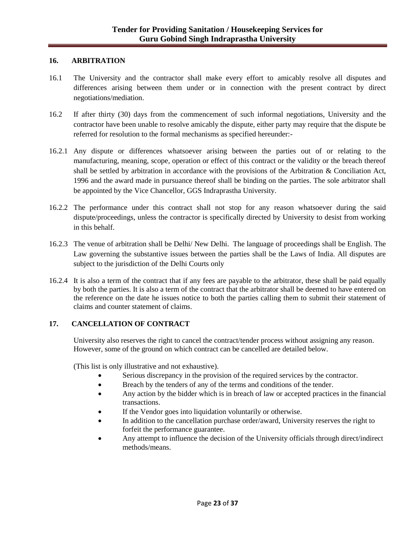### **16. ARBITRATION**

- 16.1 The University and the contractor shall make every effort to amicably resolve all disputes and differences arising between them under or in connection with the present contract by direct negotiations/mediation.
- 16.2 If after thirty (30) days from the commencement of such informal negotiations, University and the contractor have been unable to resolve amicably the dispute, either party may require that the dispute be referred for resolution to the formal mechanisms as specified hereunder:-
- 16.2.1 Any dispute or differences whatsoever arising between the parties out of or relating to the manufacturing, meaning, scope, operation or effect of this contract or the validity or the breach thereof shall be settled by arbitration in accordance with the provisions of the Arbitration & Conciliation Act, 1996 and the award made in pursuance thereof shall be binding on the parties. The sole arbitrator shall be appointed by the Vice Chancellor, GGS Indraprastha University.
- 16.2.2 The performance under this contract shall not stop for any reason whatsoever during the said dispute/proceedings, unless the contractor is specifically directed by University to desist from working in this behalf.
- 16.2.3 The venue of arbitration shall be Delhi/ New Delhi. The language of proceedings shall be English. The Law governing the substantive issues between the parties shall be the Laws of India. All disputes are subject to the jurisdiction of the Delhi Courts only
- 16.2.4 It is also a term of the contract that if any fees are payable to the arbitrator, these shall be paid equally by both the parties. It is also a term of the contract that the arbitrator shall be deemed to have entered on the reference on the date he issues notice to both the parties calling them to submit their statement of claims and counter statement of claims.

### **17. CANCELLATION OF CONTRACT**

University also reserves the right to cancel the contract/tender process without assigning any reason. However, some of the ground on which contract can be cancelled are detailed below.

(This list is only illustrative and not exhaustive).

- Serious discrepancy in the provision of the required services by the contractor.
- Breach by the tenders of any of the terms and conditions of the tender.
- Any action by the bidder which is in breach of law or accepted practices in the financial transactions.
- If the Vendor goes into liquidation voluntarily or otherwise.
- In addition to the cancellation purchase order/award, University reserves the right to forfeit the performance guarantee.
- Any attempt to influence the decision of the University officials through direct/indirect methods/means.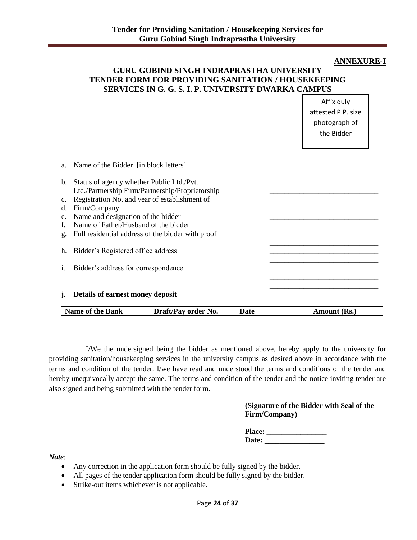### **ANNEXURE-I**

## **GURU GOBIND SINGH INDRAPRASTHA UNIVERSITY TENDER FORM FOR PROVIDING SANITATION / HOUSEKEEPING SERVICES IN G. G. S. I. P. UNIVERSITY DWARKA CAMPUS**

Affix duly attested P.P. size photograph of the Bidder

|    | a. Name of the Bidder [in block letters]                                                         |  |
|----|--------------------------------------------------------------------------------------------------|--|
|    | b. Status of agency whether Public Ltd./Pvt.<br>Ltd./Partnership Firm/Partnership/Proprietorship |  |
|    | c. Registration No. and year of establishment of                                                 |  |
| d. | Firm/Company                                                                                     |  |
|    | e. Name and designation of the bidder                                                            |  |
|    | f. Name of Father/Husband of the bidder                                                          |  |
|    | g. Full residential address of the bidder with proof                                             |  |
|    | h. Bidder's Registered office address                                                            |  |
|    |                                                                                                  |  |
| i. | Bidder's address for correspondence                                                              |  |
|    |                                                                                                  |  |
|    |                                                                                                  |  |

#### **j. Details of earnest money deposit**

| <b>Name of the Bank</b> | Draft/Pay order No. | Date | Amount (Rs.) |
|-------------------------|---------------------|------|--------------|
|                         |                     |      |              |
|                         |                     |      |              |

I/We the undersigned being the bidder as mentioned above, hereby apply to the university for providing sanitation/housekeeping services in the university campus as desired above in accordance with the terms and condition of the tender. I/we have read and understood the terms and conditions of the tender and hereby unequivocally accept the same. The terms and condition of the tender and the notice inviting tender are also signed and being submitted with the tender form.

### **(Signature of the Bidder with Seal of the Firm/Company)**

| <b>Place:</b> |  |
|---------------|--|
| Date:         |  |

*Note*:

- Any correction in the application form should be fully signed by the bidder.
- All pages of the tender application form should be fully signed by the bidder.
- Strike-out items whichever is not applicable.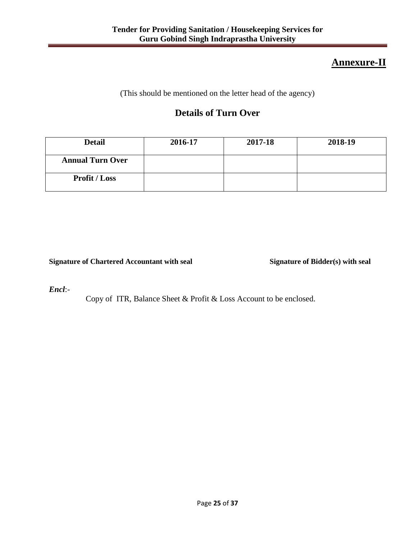# **Annexure-II**

(This should be mentioned on the letter head of the agency)

# **Details of Turn Over**

| <b>Detail</b>           | 2016-17 | 2017-18 | 2018-19 |
|-------------------------|---------|---------|---------|
| <b>Annual Turn Over</b> |         |         |         |
| <b>Profit / Loss</b>    |         |         |         |

**Signature of Chartered Accountant with seal Signature of Bidder(s) with seal**

*Encl*:-

Copy of ITR, Balance Sheet & Profit & Loss Account to be enclosed.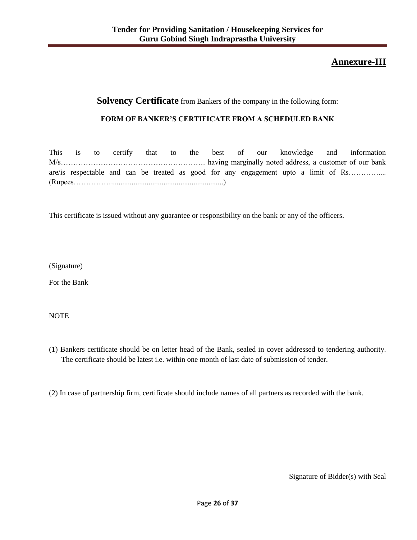# **Annexure-III**

# **Solvency Certificate** from Bankers of the company in the following form:

### **FORM OF BANKER'S CERTIFICATE FROM A SCHEDULED BANK**

|  |  |  |  |  |  |  |  | This is to certify that to the best of our knowledge and information                |
|--|--|--|--|--|--|--|--|-------------------------------------------------------------------------------------|
|  |  |  |  |  |  |  |  |                                                                                     |
|  |  |  |  |  |  |  |  | are/is respectable and can be treated as good for any engagement upto a limit of Rs |
|  |  |  |  |  |  |  |  |                                                                                     |

This certificate is issued without any guarantee or responsibility on the bank or any of the officers.

(Signature)

For the Bank

NOTE

(1) Bankers certificate should be on letter head of the Bank, sealed in cover addressed to tendering authority. The certificate should be latest i.e. within one month of last date of submission of tender.

(2) In case of partnership firm, certificate should include names of all partners as recorded with the bank.

Signature of Bidder(s) with Seal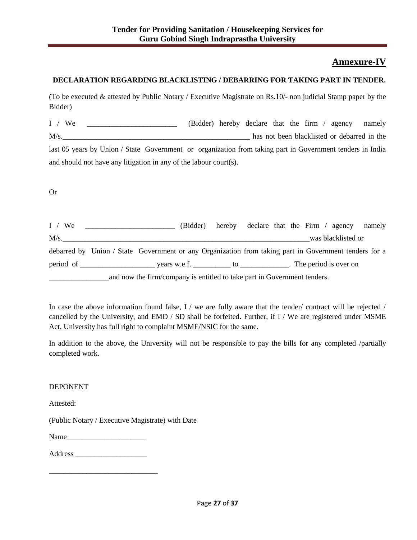# **Annexure-IV**

## **DECLARATION REGARDING BLACKLISTING / DEBARRING FOR TAKING PART IN TENDER.**

(To be executed & attested by Public Notary / Executive Magistrate on Rs.10/- non judicial Stamp paper by the Bidder)

I / We \_\_\_\_\_\_\_\_\_\_\_\_\_\_\_\_\_\_\_\_\_\_\_\_ (Bidder) hereby declare that the firm / agency namely M/s. last 05 years by Union / State Government or organization from taking part in Government tenders in India and should not have any litigation in any of the labour court(s).

Or

| I / We                                                                   |                                                                                                       |  |  | (Bidder) hereby declare that the Firm / agency namely |  |  |                    |  |
|--------------------------------------------------------------------------|-------------------------------------------------------------------------------------------------------|--|--|-------------------------------------------------------|--|--|--------------------|--|
| $M/s$ .                                                                  |                                                                                                       |  |  |                                                       |  |  | was blacklisted or |  |
|                                                                          | debarred by Union / State Government or any Organization from taking part in Government tenders for a |  |  |                                                       |  |  |                    |  |
|                                                                          |                                                                                                       |  |  |                                                       |  |  |                    |  |
| and now the firm/company is entitled to take part in Government tenders. |                                                                                                       |  |  |                                                       |  |  |                    |  |

In case the above information found false, I / we are fully aware that the tender/ contract will be rejected / cancelled by the University, and EMD / SD shall be forfeited. Further, if I / We are registered under MSME Act, University has full right to complaint MSME/NSIC for the same.

In addition to the above, the University will not be responsible to pay the bills for any completed /partially completed work.

### DEPONENT

Attested:

(Public Notary / Executive Magistrate) with Date

Name

| Address |  |  |
|---------|--|--|
|---------|--|--|

\_\_\_\_\_\_\_\_\_\_\_\_\_\_\_\_\_\_\_\_\_\_\_\_\_\_\_\_\_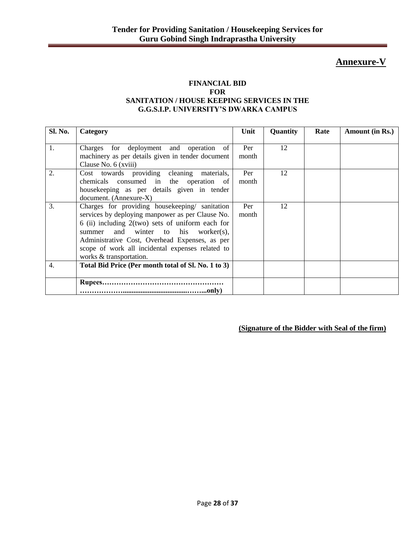# **Annexure-V**

### **FINANCIAL BID FOR SANITATION / HOUSE KEEPING SERVICES IN THE G.G.S.I.P. UNIVERSITY'S DWARKA CAMPUS**

| Sl. No. | Category                                            | Unit  | Quantity | Rate | Amount (in Rs.) |
|---------|-----------------------------------------------------|-------|----------|------|-----------------|
|         |                                                     |       |          |      |                 |
| 1.      | Charges for deployment and operation of             | Per   | 12       |      |                 |
|         | machinery as per details given in tender document   | month |          |      |                 |
|         | Clause No. 6 (xviii)                                |       |          |      |                 |
| 2.      | Cost towards providing cleaning materials,          | Per   | 12       |      |                 |
|         | chemicals consumed in the operation of              | month |          |      |                 |
|         | housekeeping as per details given in tender         |       |          |      |                 |
|         | document. (Annexure-X)                              |       |          |      |                 |
| 3.      | Charges for providing housekeeping/ sanitation      | Per   | 12       |      |                 |
|         | services by deploying manpower as per Clause No.    | month |          |      |                 |
|         | 6 (ii) including $2(two)$ sets of uniform each for  |       |          |      |                 |
|         | summer and winter to his worker(s),                 |       |          |      |                 |
|         | Administrative Cost, Overhead Expenses, as per      |       |          |      |                 |
|         | scope of work all incidental expenses related to    |       |          |      |                 |
|         | works & transportation.                             |       |          |      |                 |
| 4.      | Total Bid Price (Per month total of Sl. No. 1 to 3) |       |          |      |                 |
|         |                                                     |       |          |      |                 |
|         |                                                     |       |          |      |                 |
|         |                                                     |       |          |      |                 |

**(Signature of the Bidder with Seal of the firm)**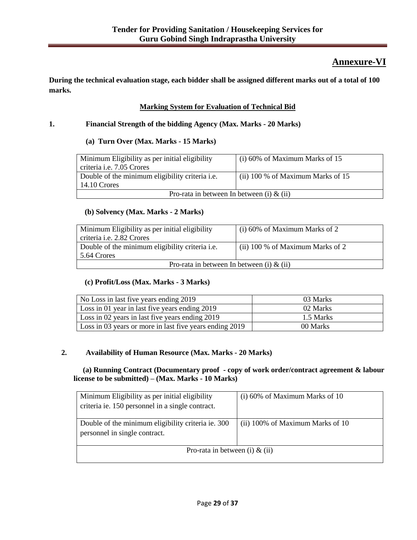# **Annexure-VI**

**During the technical evaluation stage, each bidder shall be assigned different marks out of a total of 100 marks.**

## **Marking System for Evaluation of Technical Bid**

### **1. Financial Strength of the bidding Agency (Max. Marks - 20 Marks)**

### **(a) Turn Over (Max. Marks - 15 Marks)**

| Minimum Eligibility as per initial eligibility<br>criteria <i>i.e.</i> 7.05 Crores | $(i)$ 60% of Maximum Marks of 15    |  |  |  |
|------------------------------------------------------------------------------------|-------------------------------------|--|--|--|
| Double of the minimum eligibility criteria <i>i.e.</i><br>14.10 Crores             | (ii) $100\%$ of Maximum Marks of 15 |  |  |  |
| Pro-rata in between In between (i) $\&$ (ii)                                       |                                     |  |  |  |

### **(b) Solvency (Max. Marks - 2 Marks)**

| Minimum Eligibility as per initial eligibility         | $(i)$ 60% of Maximum Marks of 2  |  |  |  |
|--------------------------------------------------------|----------------------------------|--|--|--|
| criteria <i>i.e.</i> 2.82 Crores                       |                                  |  |  |  |
| Double of the minimum eligibility criteria <i>i.e.</i> | (ii) 100 % of Maximum Marks of 2 |  |  |  |
| 5.64 Crores                                            |                                  |  |  |  |
| Pro-rata in between In between (i) $\&$ (ii)           |                                  |  |  |  |

#### **(c) Profit/Loss (Max. Marks - 3 Marks)**

| No Loss in last five years ending 2019                  | 03 Marks  |
|---------------------------------------------------------|-----------|
| Loss in 01 year in last five years ending 2019          | 02 Marks  |
| Loss in 02 years in last five years ending 2019         | 1.5 Marks |
| Loss in 03 years or more in last five years ending 2019 | 00 Marks  |

### **2. Availability of Human Resource (Max. Marks - 20 Marks)**

 **(a) Running Contract (Documentary proof - copy of work order/contract agreement & labour license to be submitted) – (Max. Marks - 10 Marks)**

| Minimum Eligibility as per initial eligibility                                      | $(i)$ 60% of Maximum Marks of 10 |
|-------------------------------------------------------------------------------------|----------------------------------|
| criteria ie. 150 personnel in a single contract.                                    |                                  |
|                                                                                     |                                  |
| Double of the minimum eligibility criteria ie. 300<br>personnel in single contract. | (ii) 100% of Maximum Marks of 10 |
| Pro-rata in between (i) $&$ (ii)                                                    |                                  |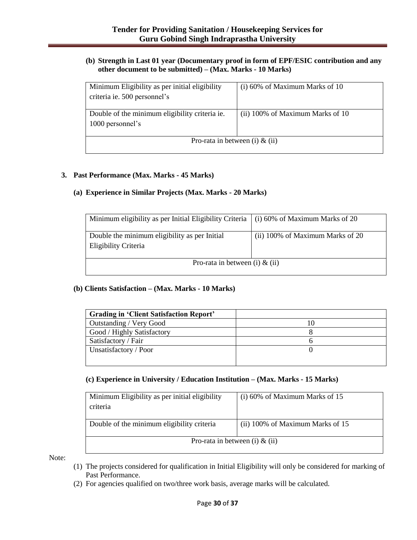### **(b) Strength in Last 01 year (Documentary proof in form of EPF/ESIC contribution and any other document to be submitted) – (Max. Marks - 10 Marks)**

| Minimum Eligibility as per initial eligibility | $(i)$ 60% of Maximum Marks of 10 |  |  |  |
|------------------------------------------------|----------------------------------|--|--|--|
| criteria ie. 500 personnel's                   |                                  |  |  |  |
|                                                |                                  |  |  |  |
| Double of the minimum eligibility criteria ie. | (ii) 100% of Maximum Marks of 10 |  |  |  |
| 1000 personnel's                               |                                  |  |  |  |
|                                                |                                  |  |  |  |
| Pro-rata in between (i) $&$ (ii)               |                                  |  |  |  |
|                                                |                                  |  |  |  |

#### **3. Past Performance (Max. Marks - 45 Marks)**

### **(a) Experience in Similar Projects (Max. Marks - 20 Marks)**

| Minimum eligibility as per Initial Eligibility Criteria $\mid$ (i) 60% of Maximum Marks of 20 |                                  |
|-----------------------------------------------------------------------------------------------|----------------------------------|
| Double the minimum eligibility as per Initial<br>Eligibility Criteria                         | (ii) 100% of Maximum Marks of 20 |
| Pro-rata in between (i) $\&$ (ii)                                                             |                                  |

### **(b) Clients Satisfaction – (Max. Marks - 10 Marks)**

| <b>Grading in 'Client Satisfaction Report'</b> |  |
|------------------------------------------------|--|
| Outstanding / Very Good                        |  |
| Good / Highly Satisfactory                     |  |
| Satisfactory / Fair                            |  |
| Unsatisfactory / Poor                          |  |
|                                                |  |

### **(c) Experience in University / Education Institution – (Max. Marks - 15 Marks)**

| Minimum Eligibility as per initial eligibility<br>criteria | $(i)$ 60% of Maximum Marks of 15 |  |
|------------------------------------------------------------|----------------------------------|--|
| Double of the minimum eligibility criteria                 | (ii) 100% of Maximum Marks of 15 |  |
| Pro-rata in between (i) $\&$ (ii)                          |                                  |  |

Note:

- (1) The projects considered for qualification in Initial Eligibility will only be considered for marking of Past Performance.
- (2) For agencies qualified on two/three work basis, average marks will be calculated.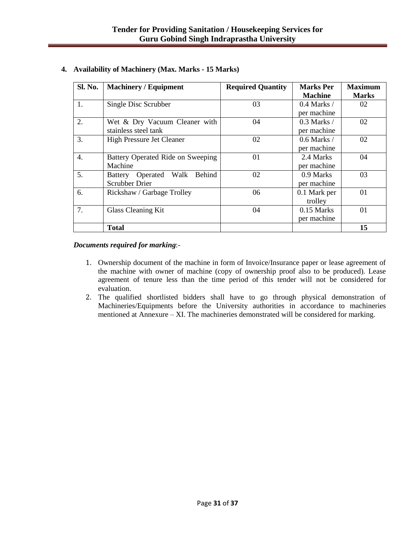| Sl. No. | <b>Machinery / Equipment</b>                             | <b>Required Quantity</b> | <b>Marks Per</b><br><b>Machine</b> | <b>Maximum</b><br><b>Marks</b> |
|---------|----------------------------------------------------------|--------------------------|------------------------------------|--------------------------------|
| 1.      | Single Disc Scrubber                                     | 03                       | $0.4$ Marks /<br>per machine       | 02                             |
| 2.      | Wet & Dry Vacuum Cleaner with<br>stainless steel tank    | 04                       | $0.3$ Marks $/$<br>per machine     | 02                             |
| 3.      | <b>High Pressure Jet Cleaner</b>                         | 02                       | $0.6$ Marks /<br>per machine       | 02                             |
| 4.      | Battery Operated Ride on Sweeping<br>Machine             | 01                       | 2.4 Marks<br>per machine           | 04                             |
| 5.      | Battery Operated Walk<br>Behind<br><b>Scrubber Drier</b> | 02                       | 0.9 Marks<br>per machine           | 03                             |
| 6.      | Rickshaw / Garbage Trolley                               | 06                       | 0.1 Mark per<br>trolley            | 01                             |
| 7.      | <b>Glass Cleaning Kit</b>                                | 04                       | $0.15$ Marks<br>per machine        | 01                             |
|         | <b>Total</b>                                             |                          |                                    | 15                             |

### **4. Availability of Machinery (Max. Marks - 15 Marks)**

#### *Documents required for marking*:-

- 1. Ownership document of the machine in form of Invoice/Insurance paper or lease agreement of the machine with owner of machine (copy of ownership proof also to be produced). Lease agreement of tenure less than the time period of this tender will not be considered for evaluation.
- 2. The qualified shortlisted bidders shall have to go through physical demonstration of Machineries/Equipments before the University authorities in accordance to machineries mentioned at Annexure – XI. The machineries demonstrated will be considered for marking.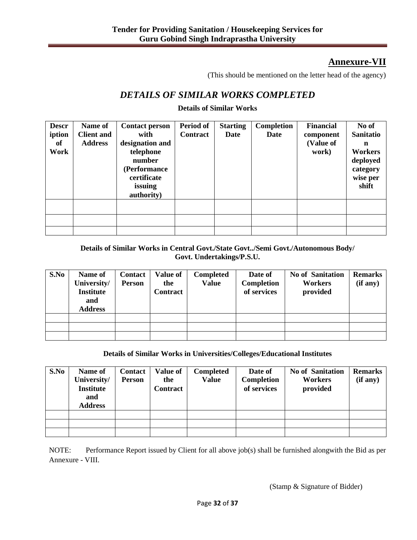# **Annexure-VII**

(This should be mentioned on the letter head of the agency)

# *DETAILS OF SIMILAR WORKS COMPLETED*

### **Details of Similar Works**

| <b>Descr</b><br>iption<br>of<br>Work | Name of<br><b>Client and</b><br><b>Address</b> | <b>Contact person</b><br>with<br>designation and<br>telephone<br>number<br>(Performance<br>certificate<br>issuing<br>authority) | Period of<br><b>Contract</b> | <b>Starting</b><br>Date | Completion<br>Date | <b>Financial</b><br>component<br>(Value of<br>work) | No of<br>Sanitatio<br>n<br>Workers<br>deployed<br>category<br>wise per<br>shift |
|--------------------------------------|------------------------------------------------|---------------------------------------------------------------------------------------------------------------------------------|------------------------------|-------------------------|--------------------|-----------------------------------------------------|---------------------------------------------------------------------------------|
|                                      |                                                |                                                                                                                                 |                              |                         |                    |                                                     |                                                                                 |
|                                      |                                                |                                                                                                                                 |                              |                         |                    |                                                     |                                                                                 |
|                                      |                                                |                                                                                                                                 |                              |                         |                    |                                                     |                                                                                 |

### **Details of Similar Works in Central Govt./State Govt../Semi Govt./Autonomous Body/ Govt. Undertakings/P.S.U.**

| S.No | Name of<br>University/<br><b>Institute</b><br>and<br><b>Address</b> | <b>Contact</b><br><b>Person</b> | <b>Value of</b><br>the<br>Contract | <b>Completed</b><br><b>Value</b> | Date of<br>Completion<br>of services | <b>No of Sanitation</b><br>Workers<br>provided | <b>Remarks</b><br>(if any) |
|------|---------------------------------------------------------------------|---------------------------------|------------------------------------|----------------------------------|--------------------------------------|------------------------------------------------|----------------------------|
|      |                                                                     |                                 |                                    |                                  |                                      |                                                |                            |
|      |                                                                     |                                 |                                    |                                  |                                      |                                                |                            |
|      |                                                                     |                                 |                                    |                                  |                                      |                                                |                            |

### **Details of Similar Works in Universities/Colleges/Educational Institutes**

| S.No | Name of<br>University/<br><b>Institute</b><br>and<br><b>Address</b> | Contact<br><b>Person</b> | <b>Value of</b><br>the<br><b>Contract</b> | <b>Completed</b><br><b>Value</b> | Date of<br>Completion<br>of services | <b>No of Sanitation</b><br><b>Workers</b><br>provided | <b>Remarks</b><br>(if any) |
|------|---------------------------------------------------------------------|--------------------------|-------------------------------------------|----------------------------------|--------------------------------------|-------------------------------------------------------|----------------------------|
|      |                                                                     |                          |                                           |                                  |                                      |                                                       |                            |
|      |                                                                     |                          |                                           |                                  |                                      |                                                       |                            |
|      |                                                                     |                          |                                           |                                  |                                      |                                                       |                            |

NOTE: Performance Report issued by Client for all above job(s) shall be furnished alongwith the Bid as per Annexure - VIII.

(Stamp & Signature of Bidder)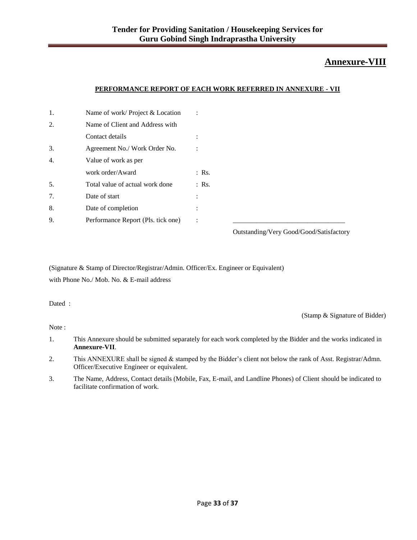# **Annexure-VIII**

#### **PERFORMANCE REPORT OF EACH WORK REFERRED IN ANNEXURE - VII**

| 1. | Name of work/Project & Location    | ÷                                                                                               |
|----|------------------------------------|-------------------------------------------------------------------------------------------------|
| 2. | Name of Client and Address with    |                                                                                                 |
|    | Contact details                    | $\cdot$                                                                                         |
| 3. | Agreement No./ Work Order No.      |                                                                                                 |
| 4. | Value of work as per               |                                                                                                 |
|    | work order/Award                   | $:$ Rs.                                                                                         |
| 5. | Total value of actual work done    | $:$ Rs.                                                                                         |
| 7. | Date of start                      | ÷                                                                                               |
| 8. | Date of completion                 | ٠                                                                                               |
| 9. | Performance Report (Pls. tick one) | ÷                                                                                               |
|    |                                    | $O_{\text{intra}}$ din $\sim N/m$ $C_{\text{out}}$ d $C_{\text{out}}$ din $\Omega_{\text{out}}$ |

Outstanding/Very Good/Good/Satisfactory

(Signature & Stamp of Director/Registrar/Admin. Officer/Ex. Engineer or Equivalent) with Phone No./ Mob. No. & E-mail address

Dated :

(Stamp & Signature of Bidder)

Note :

- 1. This Annexure should be submitted separately for each work completed by the Bidder and the works indicated in **Annexure-VII**.
- 2. This ANNEXURE shall be signed & stamped by the Bidder's client not below the rank of Asst. Registrar/Admn. Officer/Executive Engineer or equivalent.
- 3. The Name, Address, Contact details (Mobile, Fax, E-mail, and Landline Phones) of Client should be indicated to facilitate confirmation of work.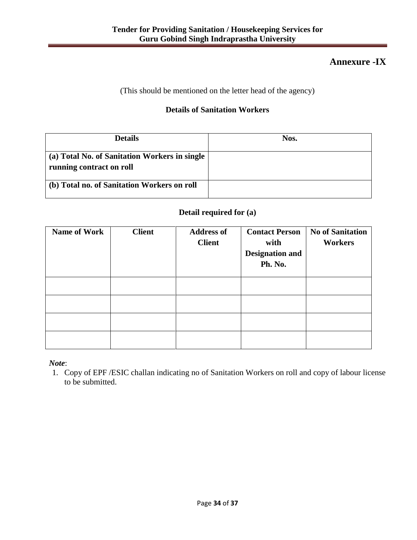# **Annexure -IX**

(This should be mentioned on the letter head of the agency)

## **Details of Sanitation Workers**

| <b>Details</b>                                                            | Nos. |
|---------------------------------------------------------------------------|------|
| (a) Total No. of Sanitation Workers in single<br>running contract on roll |      |
| (b) Total no. of Sanitation Workers on roll                               |      |

## **Detail required for (a)**

| <b>Name of Work</b> | <b>Client</b> | <b>Address of</b><br><b>Client</b> | <b>Contact Person</b><br>with<br><b>Designation and</b><br>Ph. No. | <b>No of Sanitation</b><br><b>Workers</b> |
|---------------------|---------------|------------------------------------|--------------------------------------------------------------------|-------------------------------------------|
|                     |               |                                    |                                                                    |                                           |
|                     |               |                                    |                                                                    |                                           |
|                     |               |                                    |                                                                    |                                           |
|                     |               |                                    |                                                                    |                                           |

*Note*:

1. Copy of EPF /ESIC challan indicating no of Sanitation Workers on roll and copy of labour license to be submitted.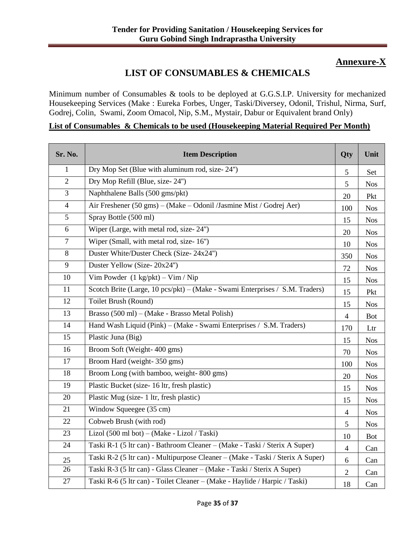# **Annexure-X**

# **LIST OF CONSUMABLES & CHEMICALS**

Minimum number of Consumables & tools to be deployed at G.G.S.I.P. University for mechanized Housekeeping Services (Make : Eureka Forbes, Unger, Taski/Diversey, Odonil, Trishul, Nirma, Surf, Godrej, Colin, Swami, Zoom Omacol, Nip, S.M., Mystair, Dabur or Equivalent brand Only)

### **List of Consumables & Chemicals to be used (Housekeeping Material Required Per Month)**

| Sr. No.        | <b>Item Description</b>                                                        | Qty            | Unit       |
|----------------|--------------------------------------------------------------------------------|----------------|------------|
| 1              | Dry Mop Set (Blue with aluminum rod, size-24")                                 | 5              | Set        |
| $\overline{2}$ | Dry Mop Refill (Blue, size-24")                                                | 5              | <b>Nos</b> |
| 3              | Naphthalene Balls (500 gms/pkt)                                                | 20             | Pkt        |
| $\overline{4}$ | Air Freshener (50 gms) – (Make – Odonil /Jasmine Mist / Godrej Aer)            | 100            | <b>Nos</b> |
| 5              | Spray Bottle (500 ml)                                                          | 15             | <b>Nos</b> |
| 6              | Wiper (Large, with metal rod, size-24")                                        | 20             | <b>Nos</b> |
| $\overline{7}$ | Wiper (Small, with metal rod, size-16")                                        | 10             | <b>Nos</b> |
| 8              | Duster White/Duster Check (Size-24x24")                                        | 350            | <b>Nos</b> |
| 9              | Duster Yellow (Size-20x24")                                                    | 72             | <b>Nos</b> |
| 10             | Vim Powder $(1 \text{ kg}/\text{pkt}) - \text{Vim} / \text{Nip}$               | 15             | <b>Nos</b> |
| 11             | Scotch Brite (Large, 10 pcs/pkt) – (Make - Swami Enterprises / S.M. Traders)   | 15             | Pkt        |
| 12             | Toilet Brush (Round)                                                           | 15             | <b>Nos</b> |
| 13             | Brasso (500 ml) – (Make - Brasso Metal Polish)                                 | $\overline{4}$ | <b>Bot</b> |
| 14             | Hand Wash Liquid (Pink) – (Make - Swami Enterprises / S.M. Traders)            | 170            | Ltr        |
| 15             | Plastic Juna (Big)                                                             | 15             | <b>Nos</b> |
| 16             | Broom Soft (Weight-400 gms)                                                    | 70             | <b>Nos</b> |
| 17             | Broom Hard (weight-350 gms)                                                    | 100            | <b>Nos</b> |
| 18             | Broom Long (with bamboo, weight-800 gms)                                       | 20             | <b>Nos</b> |
| 19             | Plastic Bucket (size-16 ltr, fresh plastic)                                    | 15             | <b>Nos</b> |
| 20             | Plastic Mug (size-1 ltr, fresh plastic)                                        | 15             | <b>Nos</b> |
| 21             | Window Squeegee (35 cm)                                                        | $\overline{4}$ | <b>Nos</b> |
| 22             | Cobweb Brush (with rod)                                                        | 5              | <b>Nos</b> |
| 23             | Lizol (500 ml bot) – (Make - Lizol / Taski)                                    | 10             | <b>Bot</b> |
| 24             | Taski R-1 (5 ltr can) - Bathroom Cleaner - (Make - Taski / Sterix A Super)     | $\overline{4}$ | Can        |
| 25             | Taski R-2 (5 ltr can) - Multipurpose Cleaner - (Make - Taski / Sterix A Super) | 6              | Can        |
| 26             | Taski R-3 (5 ltr can) - Glass Cleaner - (Make - Taski / Sterix A Super)        | $\overline{2}$ | Can        |
| 27             | Taski R-6 (5 ltr can) - Toilet Cleaner - (Make - Haylide / Harpic / Taski)     | 18             | Can        |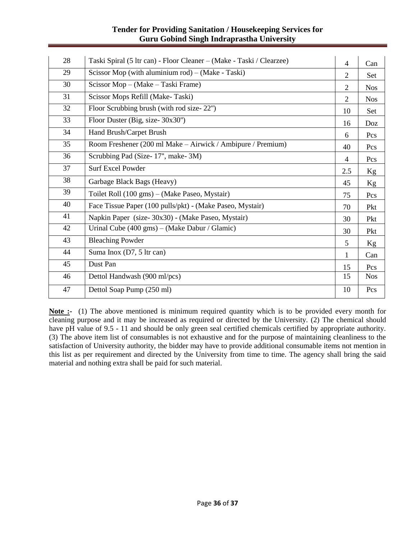## **Tender for Providing Sanitation / Housekeeping Services for Guru Gobind Singh Indraprastha University**

| 28 | Taski Spiral (5 ltr can) - Floor Cleaner - (Make - Taski / Clearzee) | $\overline{4}$ | Can        |
|----|----------------------------------------------------------------------|----------------|------------|
| 29 | Scissor Mop (with aluminium rod) $-$ (Make - Taski)                  | 2              | Set        |
| 30 | Scissor Mop - (Make - Taski Frame)                                   | 2              | <b>Nos</b> |
| 31 | Scissor Mops Refill (Make-Taski)                                     | 2              | <b>Nos</b> |
| 32 | Floor Scrubbing brush (with rod size-22")                            | 10             | Set        |
| 33 | Floor Duster (Big, size-30x30")                                      | 16             | Doz        |
| 34 | Hand Brush/Carpet Brush                                              | 6              | Pcs        |
| 35 | Room Freshener (200 ml Make – Airwick / Ambipure / Premium)          | 40             | Pcs        |
| 36 | Scrubbing Pad (Size-17", make-3M)                                    | $\overline{4}$ | Pcs        |
| 37 | <b>Surf Excel Powder</b>                                             | 2.5            | Kg         |
| 38 | Garbage Black Bags (Heavy)                                           | 45             | Kg         |
| 39 | Toilet Roll (100 gms) – (Make Paseo, Mystair)                        | 75             | Pcs        |
| 40 | Face Tissue Paper (100 pulls/pkt) - (Make Paseo, Mystair)            | 70             | Pkt        |
| 41 | Napkin Paper (size-30x30) - (Make Paseo, Mystair)                    | 30             | Pkt        |
| 42 | Urinal Cube $(400 \text{ gms}) - (Make Dabur / Glamic)$              | 30             | Pkt        |
| 43 | <b>Bleaching Powder</b>                                              | 5              | Kg         |
| 44 | Suma Inox (D7, 5 ltr can)                                            | 1              | Can        |
| 45 | Dust Pan                                                             | 15             | Pcs        |
| 46 | Dettol Handwash (900 ml/pcs)                                         | 15             | <b>Nos</b> |
| 47 | Dettol Soap Pump (250 ml)                                            | 10             | Pcs        |

**Note :-** (1) The above mentioned is minimum required quantity which is to be provided every month for cleaning purpose and it may be increased as required or directed by the University. (2) The chemical should have pH value of 9.5 - 11 and should be only green seal certified chemicals certified by appropriate authority. (3) The above item list of consumables is not exhaustive and for the purpose of maintaining cleanliness to the satisfaction of University authority, the bidder may have to provide additional consumable items not mention in this list as per requirement and directed by the University from time to time. The agency shall bring the said material and nothing extra shall be paid for such material.